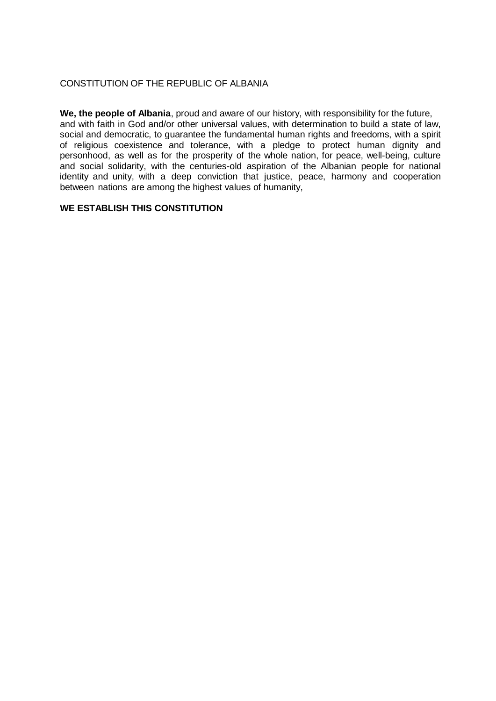# CONSTITUTION OF THE REPUBLIC OF ALBANIA

**We, the people of Albania**, proud and aware of our history, with responsibility for the future, and with faith in God and/or other universal values, with determination to build a state of law, social and democratic, to guarantee the fundamental human rights and freedoms, with a spirit of religious coexistence and tolerance, with a pledge to protect human dignity and personhood, as well as for the prosperity of the whole nation, for peace, well-being, culture and social solidarity, with the centuries-old aspiration of the Albanian people for national identity and unity, with a deep conviction that justice, peace, harmony and cooperation between nations are among the highest values of humanity,

# **WE ESTABLISH THIS CONSTITUTION**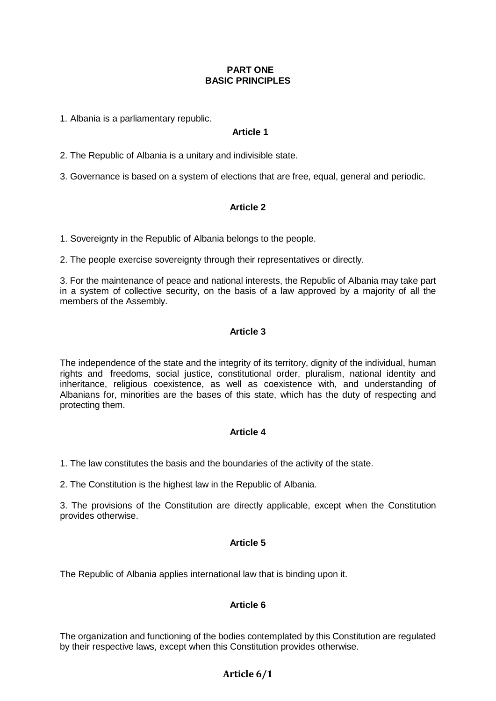## **PART ONE BASIC PRINCIPLES**

1. Albania is a parliamentary republic.

# **Article 1**

2. The Republic of Albania is a unitary and indivisible state.

3. Governance is based on a system of elections that are free, equal, general and periodic.

# **Article 2**

1. Sovereignty in the Republic of Albania belongs to the people.

2. The people exercise sovereignty through their representatives or directly.

3. For the maintenance of peace and national interests, the Republic of Albania may take part in a system of collective security, on the basis of a law approved by a majority of all the members of the Assembly.

# **Article 3**

The independence of the state and the integrity of its territory, dignity of the individual, human rights and freedoms, social justice, constitutional order, pluralism, national identity and inheritance, religious coexistence, as well as coexistence with, and understanding of Albanians for, minorities are the bases of this state, which has the duty of respecting and protecting them.

# **Article 4**

1. The law constitutes the basis and the boundaries of the activity of the state.

2. The Constitution is the highest law in the Republic of Albania.

3. The provisions of the Constitution are directly applicable, except when the Constitution provides otherwise.

## **Article 5**

The Republic of Albania applies international law that is binding upon it.

# **Article 6**

The organization and functioning of the bodies contemplated by this Constitution are regulated by their respective laws, except when this Constitution provides otherwise.

# **Article 6/1**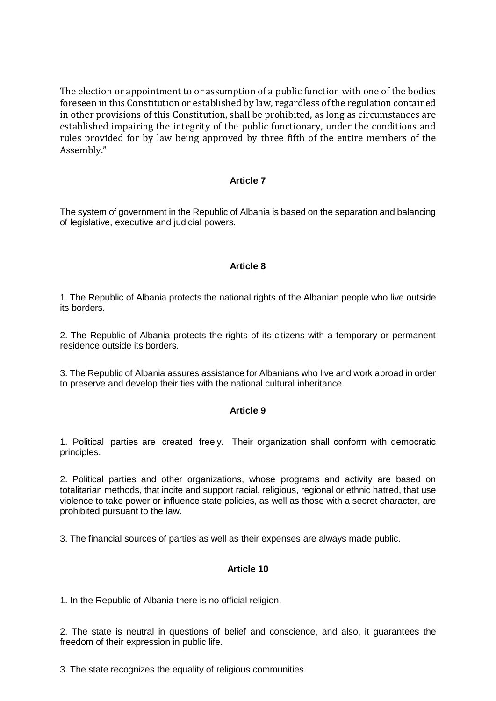The election or appointment to or assumption of a public function with one of the bodies foreseen in this Constitution or established by law, regardless of the regulation contained in other provisions of this Constitution, shall be prohibited, as long as circumstances are established impairing the integrity of the public functionary, under the conditions and rules provided for by law being approved by three fifth of the entire members of the Assembly."

## **Article 7**

The system of government in the Republic of Albania is based on the separation and balancing of legislative, executive and judicial powers.

## **Article 8**

1. The Republic of Albania protects the national rights of the Albanian people who live outside its borders.

2. The Republic of Albania protects the rights of its citizens with a temporary or permanent residence outside its borders.

3. The Republic of Albania assures assistance for Albanians who live and work abroad in order to preserve and develop their ties with the national cultural inheritance.

## **Article 9**

1. Political parties are created freely. Their organization shall conform with democratic principles.

2. Political parties and other organizations, whose programs and activity are based on totalitarian methods, that incite and support racial, religious, regional or ethnic hatred, that use violence to take power or influence state policies, as well as those with a secret character, are prohibited pursuant to the law.

3. The financial sources of parties as well as their expenses are always made public.

## **Article 10**

1. In the Republic of Albania there is no official religion.

2. The state is neutral in questions of belief and conscience, and also, it guarantees the freedom of their expression in public life.

3. The state recognizes the equality of religious communities.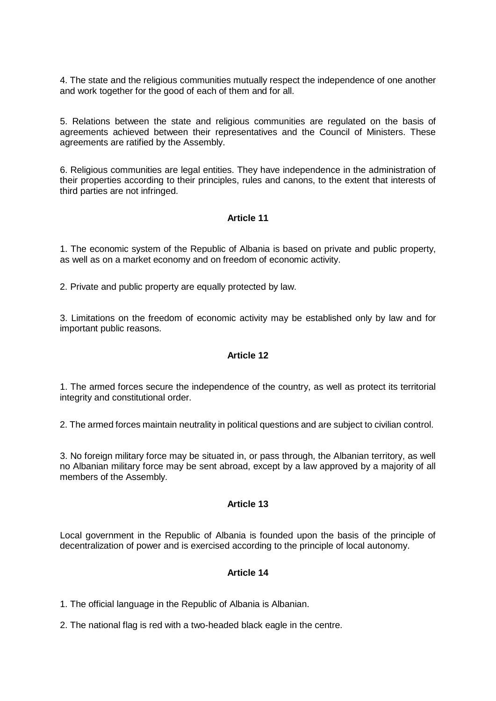4. The state and the religious communities mutually respect the independence of one another and work together for the good of each of them and for all.

5. Relations between the state and religious communities are regulated on the basis of agreements achieved between their representatives and the Council of Ministers. These agreements are ratified by the Assembly.

6. Religious communities are legal entities. They have independence in the administration of their properties according to their principles, rules and canons, to the extent that interests of third parties are not infringed.

## **Article 11**

1. The economic system of the Republic of Albania is based on private and public property, as well as on a market economy and on freedom of economic activity.

2. Private and public property are equally protected by law.

3. Limitations on the freedom of economic activity may be established only by law and for important public reasons.

#### **Article 12**

1. The armed forces secure the independence of the country, as well as protect its territorial integrity and constitutional order.

2. The armed forces maintain neutrality in political questions and are subject to civilian control.

3. No foreign military force may be situated in, or pass through, the Albanian territory, as well no Albanian military force may be sent abroad, except by a law approved by a majority of all members of the Assembly.

#### **Article 13**

Local government in the Republic of Albania is founded upon the basis of the principle of decentralization of power and is exercised according to the principle of local autonomy.

## **Article 14**

1. The official language in the Republic of Albania is Albanian.

2. The national flag is red with a two-headed black eagle in the centre.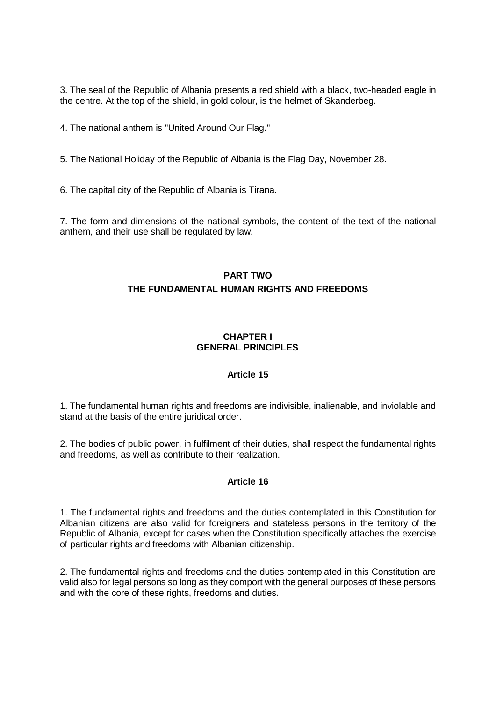3. The seal of the Republic of Albania presents a red shield with a black, two-headed eagle in the centre. At the top of the shield, in gold colour, is the helmet of Skanderbeg.

4. The national anthem is "United Around Our Flag."

5. The National Holiday of the Republic of Albania is the Flag Day, November 28.

6. The capital city of the Republic of Albania is Tirana.

7. The form and dimensions of the national symbols, the content of the text of the national anthem, and their use shall be regulated by law.

# **PART TWO THE FUNDAMENTAL HUMAN RIGHTS AND FREEDOMS**

## **CHAPTER I GENERAL PRINCIPLES**

## **Article 15**

1. The fundamental human rights and freedoms are indivisible, inalienable, and inviolable and stand at the basis of the entire juridical order.

2. The bodies of public power, in fulfilment of their duties, shall respect the fundamental rights and freedoms, as well as contribute to their realization.

## **Article 16**

1. The fundamental rights and freedoms and the duties contemplated in this Constitution for Albanian citizens are also valid for foreigners and stateless persons in the territory of the Republic of Albania, except for cases when the Constitution specifically attaches the exercise of particular rights and freedoms with Albanian citizenship.

2. The fundamental rights and freedoms and the duties contemplated in this Constitution are valid also for legal persons so long as they comport with the general purposes of these persons and with the core of these rights, freedoms and duties.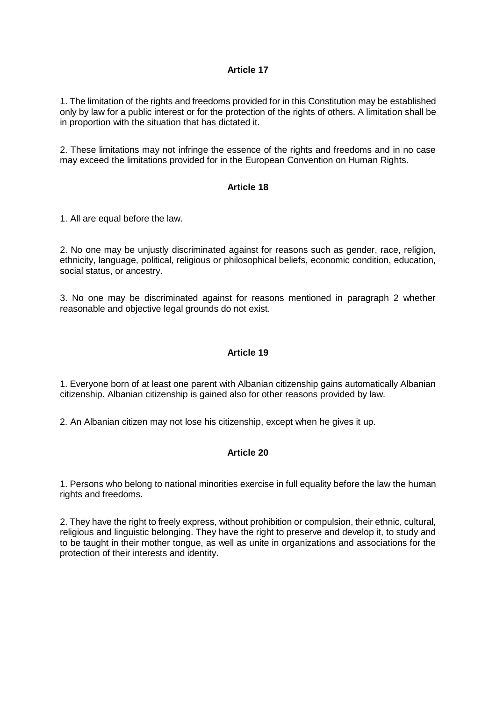1. The limitation of the rights and freedoms provided for in this Constitution may be established only by law for a public interest or for the protection of the rights of others. A limitation shall be in proportion with the situation that has dictated it.

2. These limitations may not infringe the essence of the rights and freedoms and in no case may exceed the limitations provided for in the European Convention on Human Rights.

#### **Article 18**

1. All are equal before the law.

2. No one may be unjustly discriminated against for reasons such as gender, race, religion, ethnicity, language, political, religious or philosophical beliefs, economic condition, education, social status, or ancestry.

3. No one may be discriminated against for reasons mentioned in paragraph 2 whether reasonable and objective legal grounds do not exist.

## **Article 19**

1. Everyone born of at least one parent with Albanian citizenship gains automatically Albanian citizenship. Albanian citizenship is gained also for other reasons provided by law.

2. An Albanian citizen may not lose his citizenship, except when he gives it up.

## **Article 20**

1. Persons who belong to national minorities exercise in full equality before the law the human rights and freedoms.

2. They have the right to freely express, without prohibition or compulsion, their ethnic, cultural, religious and linguistic belonging. They have the right to preserve and develop it, to study and to be taught in their mother tongue, as well as unite in organizations and associations for the protection of their interests and identity.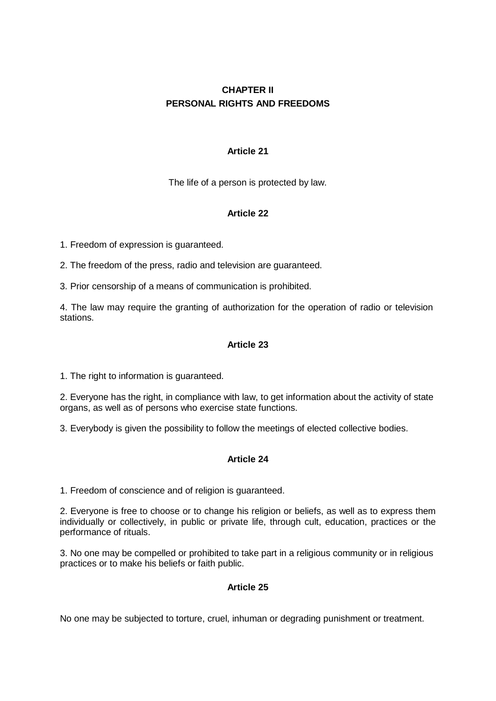# **CHAPTER II PERSONAL RIGHTS AND FREEDOMS**

# **Article 21**

The life of a person is protected by law.

# **Article 22**

1. Freedom of expression is guaranteed.

2. The freedom of the press, radio and television are guaranteed.

3. Prior censorship of a means of communication is prohibited.

4. The law may require the granting of authorization for the operation of radio or television stations.

# **Article 23**

1. The right to information is guaranteed.

2. Everyone has the right, in compliance with law, to get information about the activity of state organs, as well as of persons who exercise state functions.

3. Everybody is given the possibility to follow the meetings of elected collective bodies.

# **Article 24**

1. Freedom of conscience and of religion is guaranteed.

2. Everyone is free to choose or to change his religion or beliefs, as well as to express them individually or collectively, in public or private life, through cult, education, practices or the performance of rituals.

3. No one may be compelled or prohibited to take part in a religious community or in religious practices or to make his beliefs or faith public.

## **Article 25**

No one may be subjected to torture, cruel, inhuman or degrading punishment or treatment.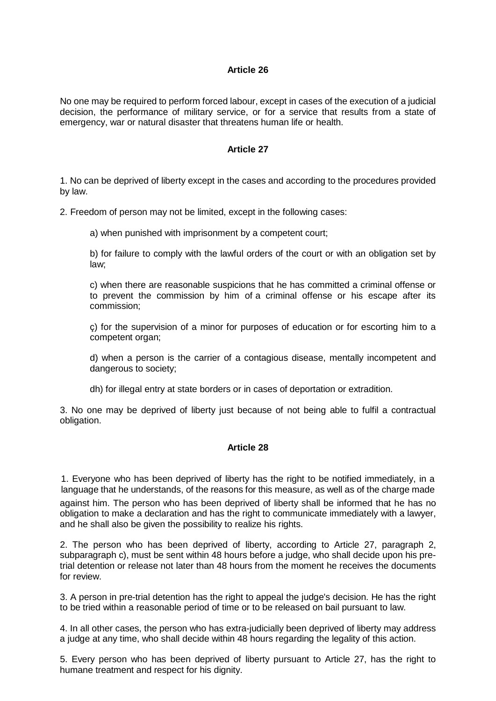No one may be required to perform forced labour, except in cases of the execution of a judicial decision, the performance of military service, or for a service that results from a state of emergency, war or natural disaster that threatens human life or health.

#### **Article 27**

1. No can be deprived of liberty except in the cases and according to the procedures provided by law.

2. Freedom of person may not be limited, except in the following cases:

a) when punished with imprisonment by a competent court;

b) for failure to comply with the lawful orders of the court or with an obligation set by law;

c) when there are reasonable suspicions that he has committed a criminal offense or to prevent the commission by him of a criminal offense or his escape after its commission;

ç) for the supervision of a minor for purposes of education or for escorting him to a competent organ;

d) when a person is the carrier of a contagious disease, mentally incompetent and dangerous to society;

dh) for illegal entry at state borders or in cases of deportation or extradition.

3. No one may be deprived of liberty just because of not being able to fulfil a contractual obligation.

## **Article 28**

1. Everyone who has been deprived of liberty has the right to be notified immediately, in a language that he understands, of the reasons for this measure, as well as of the charge made

against him. The person who has been deprived of liberty shall be informed that he has no obligation to make a declaration and has the right to communicate immediately with a lawyer, and he shall also be given the possibility to realize his rights.

2. The person who has been deprived of liberty, according to Article 27, paragraph 2, subparagraph c), must be sent within 48 hours before a judge, who shall decide upon his pretrial detention or release not later than 48 hours from the moment he receives the documents for review.

3. A person in pre-trial detention has the right to appeal the judge's decision. He has the right to be tried within a reasonable period of time or to be released on bail pursuant to law.

4. In all other cases, the person who has extra-judicially been deprived of liberty may address a judge at any time, who shall decide within 48 hours regarding the legality of this action.

5. Every person who has been deprived of liberty pursuant to Article 27, has the right to humane treatment and respect for his dignity.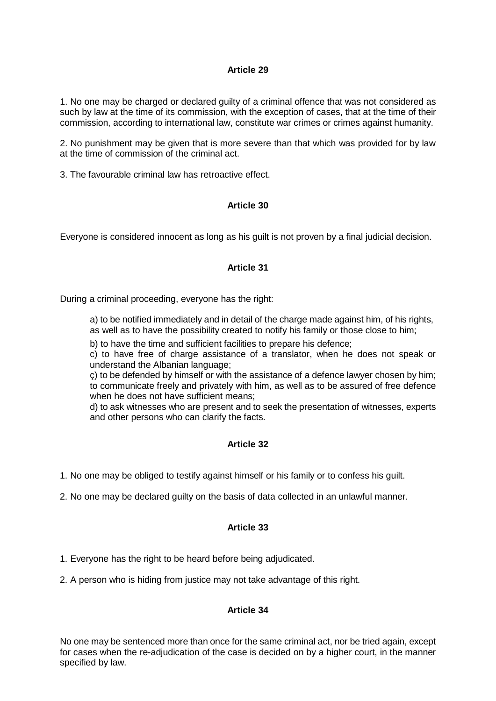1. No one may be charged or declared guilty of a criminal offence that was not considered as such by law at the time of its commission, with the exception of cases, that at the time of their commission, according to international law, constitute war crimes or crimes against humanity.

2. No punishment may be given that is more severe than that which was provided for by law at the time of commission of the criminal act.

3. The favourable criminal law has retroactive effect.

## **Article 30**

Everyone is considered innocent as long as his guilt is not proven by a final judicial decision.

## **Article 31**

During a criminal proceeding, everyone has the right:

a) to be notified immediately and in detail of the charge made against him, of his rights, as well as to have the possibility created to notify his family or those close to him;

b) to have the time and sufficient facilities to prepare his defence;

c) to have free of charge assistance of a translator, when he does not speak or understand the Albanian language;

ç) to be defended by himself or with the assistance of a defence lawyer chosen by him; to communicate freely and privately with him, as well as to be assured of free defence when he does not have sufficient means;

d) to ask witnesses who are present and to seek the presentation of witnesses, experts and other persons who can clarify the facts.

# **Article 32**

1. No one may be obliged to testify against himself or his family or to confess his guilt.

2. No one may be declared guilty on the basis of data collected in an unlawful manner.

## **Article 33**

1. Everyone has the right to be heard before being adjudicated.

2. A person who is hiding from justice may not take advantage of this right.

## **Article 34**

No one may be sentenced more than once for the same criminal act, nor be tried again, except for cases when the re-adjudication of the case is decided on by a higher court, in the manner specified by law.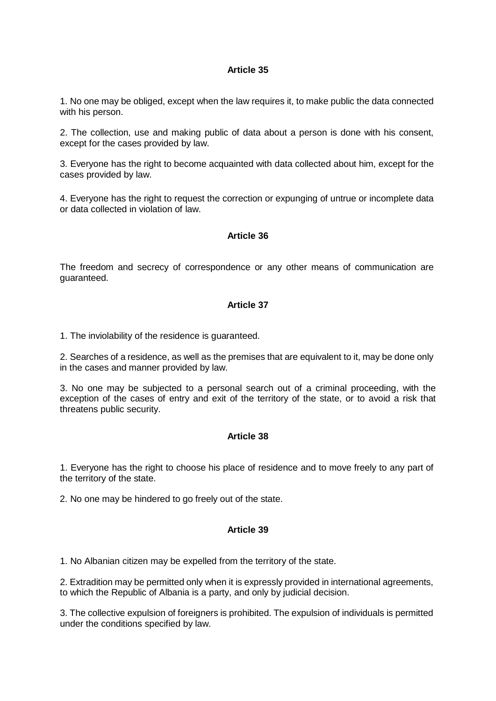1. No one may be obliged, except when the law requires it, to make public the data connected with his person.

2. The collection, use and making public of data about a person is done with his consent, except for the cases provided by law.

3. Everyone has the right to become acquainted with data collected about him, except for the cases provided by law.

4. Everyone has the right to request the correction or expunging of untrue or incomplete data or data collected in violation of law.

#### **Article 36**

The freedom and secrecy of correspondence or any other means of communication are guaranteed.

#### **Article 37**

1. The inviolability of the residence is guaranteed.

2. Searches of a residence, as well as the premises that are equivalent to it, may be done only in the cases and manner provided by law.

3. No one may be subjected to a personal search out of a criminal proceeding, with the exception of the cases of entry and exit of the territory of the state, or to avoid a risk that threatens public security.

#### **Article 38**

1. Everyone has the right to choose his place of residence and to move freely to any part of the territory of the state.

2. No one may be hindered to go freely out of the state.

#### **Article 39**

1. No Albanian citizen may be expelled from the territory of the state.

2. Extradition may be permitted only when it is expressly provided in international agreements, to which the Republic of Albania is a party, and only by judicial decision.

3. The collective expulsion of foreigners is prohibited. The expulsion of individuals is permitted under the conditions specified by law.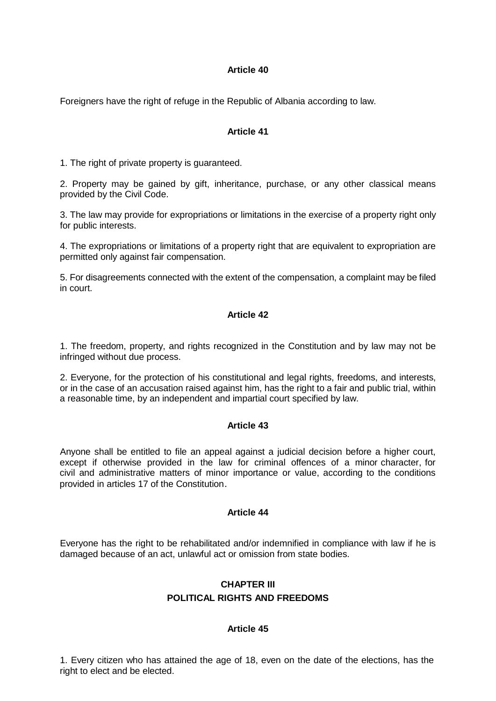Foreigners have the right of refuge in the Republic of Albania according to law.

### **Article 41**

1. The right of private property is guaranteed.

2. Property may be gained by gift, inheritance, purchase, or any other classical means provided by the Civil Code.

3. The law may provide for expropriations or limitations in the exercise of a property right only for public interests.

4. The expropriations or limitations of a property right that are equivalent to expropriation are permitted only against fair compensation.

5. For disagreements connected with the extent of the compensation, a complaint may be filed in court.

### **Article 42**

1. The freedom, property, and rights recognized in the Constitution and by law may not be infringed without due process.

2. Everyone, for the protection of his constitutional and legal rights, freedoms, and interests, or in the case of an accusation raised against him, has the right to a fair and public trial, within a reasonable time, by an independent and impartial court specified by law.

#### **Article 43**

Anyone shall be entitled to file an appeal against a judicial decision before a higher court, except if otherwise provided in the law for criminal offences of a minor character, for civil and administrative matters of minor importance or value, according to the conditions provided in articles 17 of the Constitution.

#### **Article 44**

Everyone has the right to be rehabilitated and/or indemnified in compliance with law if he is damaged because of an act, unlawful act or omission from state bodies.

# **CHAPTER III POLITICAL RIGHTS AND FREEDOMS**

## **Article 45**

1. Every citizen who has attained the age of 18, even on the date of the elections, has the right to elect and be elected.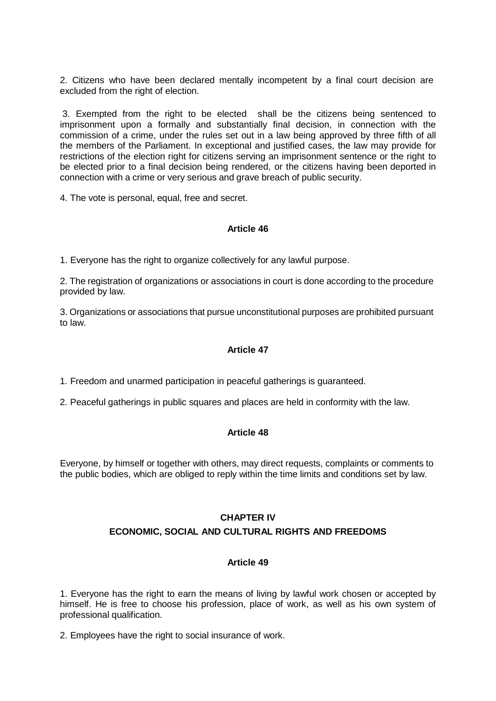2. Citizens who have been declared mentally incompetent by a final court decision are excluded from the right of election.

3. Exempted from the right to be elected shall be the citizens being sentenced to imprisonment upon a formally and substantially final decision, in connection with the commission of a crime, under the rules set out in a law being approved by three fifth of all the members of the Parliament. In exceptional and justified cases, the law may provide for restrictions of the election right for citizens serving an imprisonment sentence or the right to be elected prior to a final decision being rendered, or the citizens having been deported in connection with a crime or very serious and grave breach of public security.

4. The vote is personal, equal, free and secret.

## **Article 46**

1. Everyone has the right to organize collectively for any lawful purpose.

2. The registration of organizations or associations in court is done according to the procedure provided by law.

3. Organizations or associations that pursue unconstitutional purposes are prohibited pursuant to law.

## **Article 47**

1. Freedom and unarmed participation in peaceful gatherings is guaranteed.

2. Peaceful gatherings in public squares and places are held in conformity with the law.

## **Article 48**

Everyone, by himself or together with others, may direct requests, complaints or comments to the public bodies, which are obliged to reply within the time limits and conditions set by law.

#### **CHAPTER IV**

#### **ECONOMIC, SOCIAL AND CULTURAL RIGHTS AND FREEDOMS**

## **Article 49**

1. Everyone has the right to earn the means of living by lawful work chosen or accepted by himself. He is free to choose his profession, place of work, as well as his own system of professional qualification.

2. Employees have the right to social insurance of work.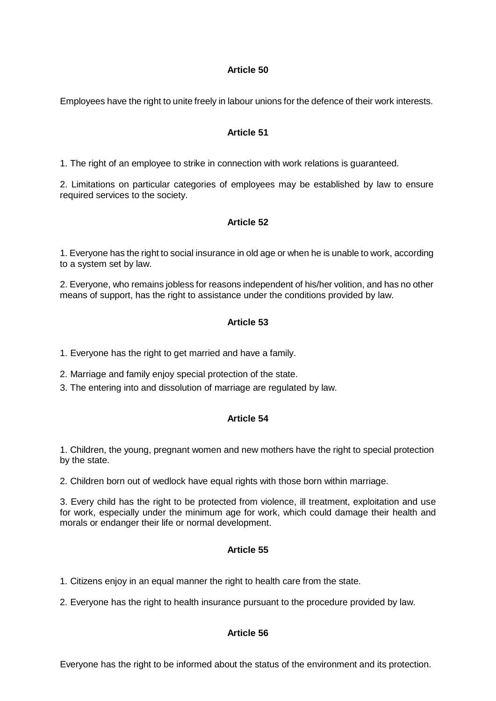Employees have the right to unite freely in labour unions for the defence of their work interests.

# **Article 51**

1. The right of an employee to strike in connection with work relations is guaranteed.

2. Limitations on particular categories of employees may be established by law to ensure required services to the society.

# **Article 52**

1. Everyone has the right to social insurance in old age or when he is unable to work, according to a system set by law.

2. Everyone, who remains jobless for reasons independent of his/her volition, and has no other means of support, has the right to assistance under the conditions provided by law.

# **Article 53**

1. Everyone has the right to get married and have a family.

2. Marriage and family enjoy special protection of the state.

3. The entering into and dissolution of marriage are regulated by law.

# **Article 54**

1. Children, the young, pregnant women and new mothers have the right to special protection by the state.

2. Children born out of wedlock have equal rights with those born within marriage.

3. Every child has the right to be protected from violence, ill treatment, exploitation and use for work, especially under the minimum age for work, which could damage their health and morals or endanger their life or normal development.

# **Article 55**

1. Citizens enjoy in an equal manner the right to health care from the state.

2. Everyone has the right to health insurance pursuant to the procedure provided by law.

# **Article 56**

Everyone has the right to be informed about the status of the environment and its protection.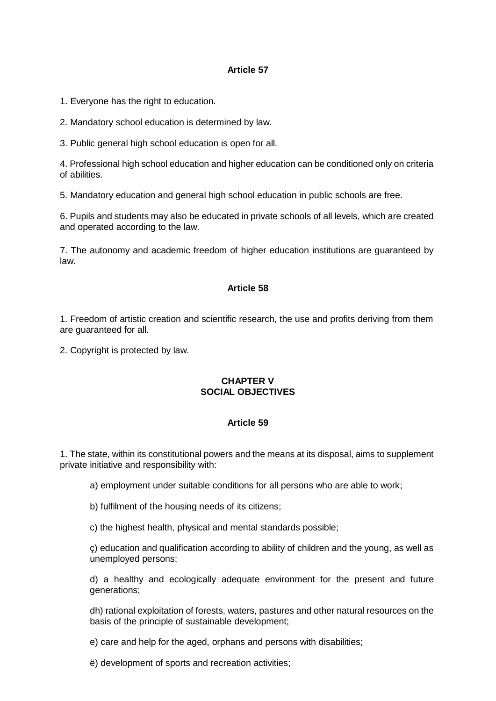1. Everyone has the right to education.

2. Mandatory school education is determined by law.

3. Public general high school education is open for all.

4. Professional high school education and higher education can be conditioned only on criteria of abilities.

5. Mandatory education and general high school education in public schools are free.

6. Pupils and students may also be educated in private schools of all levels, which are created and operated according to the law.

7. The autonomy and academic freedom of higher education institutions are guaranteed by law.

# **Article 58**

1. Freedom of artistic creation and scientific research, the use and profits deriving from them are guaranteed for all.

2. Copyright is protected by law.

# **CHAPTER V SOCIAL OBJECTIVES**

## **Article 59**

1. The state, within its constitutional powers and the means at its disposal, aims to supplement private initiative and responsibility with:

a) employment under suitable conditions for all persons who are able to work;

b) fulfilment of the housing needs of its citizens;

c) the highest health, physical and mental standards possible;

ç) education and qualification according to ability of children and the young, as well as unemployed persons;

d) a healthy and ecologically adequate environment for the present and future generations;

dh) rational exploitation of forests, waters, pastures and other natural resources on the basis of the principle of sustainable development;

e) care and help for the aged, orphans and persons with disabilities;

ë) development of sports and recreation activities;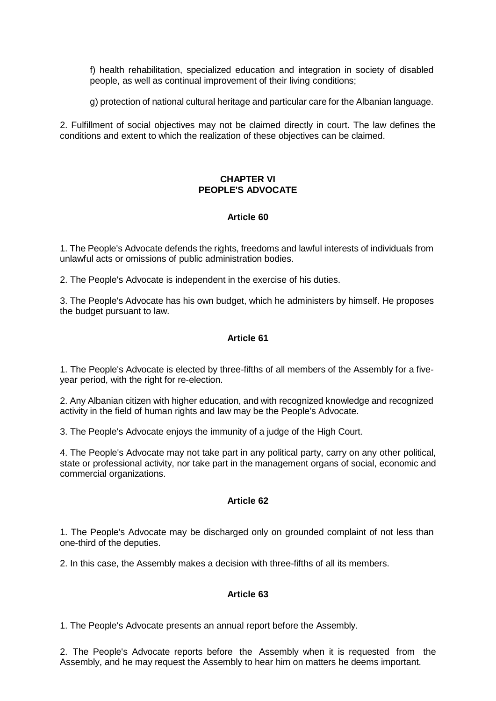f) health rehabilitation, specialized education and integration in society of disabled people, as well as continual improvement of their living conditions;

g) protection of national cultural heritage and particular care for the Albanian language.

2. Fulfillment of social objectives may not be claimed directly in court. The law defines the conditions and extent to which the realization of these objectives can be claimed.

### **CHAPTER VI PEOPLE'S ADVOCATE**

## **Article 60**

1. The People's Advocate defends the rights, freedoms and lawful interests of individuals from unlawful acts or omissions of public administration bodies.

2. The People's Advocate is independent in the exercise of his duties.

3. The People's Advocate has his own budget, which he administers by himself. He proposes the budget pursuant to law.

## **Article 61**

1. The People's Advocate is elected by three-fifths of all members of the Assembly for a fiveyear period, with the right for re-election.

2. Any Albanian citizen with higher education, and with recognized knowledge and recognized activity in the field of human rights and law may be the People's Advocate.

3. The People's Advocate enjoys the immunity of a judge of the High Court.

4. The People's Advocate may not take part in any political party, carry on any other political, state or professional activity, nor take part in the management organs of social, economic and commercial organizations.

## **Article 62**

1. The People's Advocate may be discharged only on grounded complaint of not less than one-third of the deputies.

2. In this case, the Assembly makes a decision with three-fifths of all its members.

## **Article 63**

1. The People's Advocate presents an annual report before the Assembly.

2. The People's Advocate reports before the Assembly when it is requested from the Assembly, and he may request the Assembly to hear him on matters he deems important.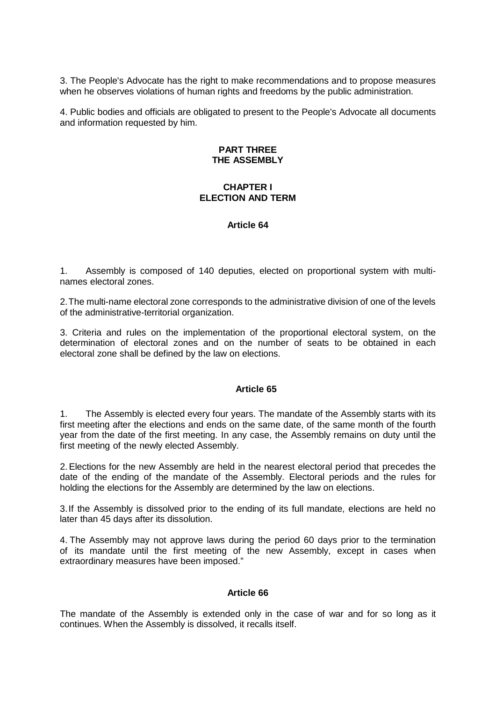3. The People's Advocate has the right to make recommendations and to propose measures when he observes violations of human rights and freedoms by the public administration.

4. Public bodies and officials are obligated to present to the People's Advocate all documents and information requested by him.

#### **PART THREE THE ASSEMBLY**

#### **CHAPTER I ELECTION AND TERM**

#### **Article 64**

1. Assembly is composed of 140 deputies, elected on proportional system with multinames electoral zones.

2.The multi-name electoral zone corresponds to the administrative division of one of the levels of the administrative-territorial organization.

3. Criteria and rules on the implementation of the proportional electoral system, on the determination of electoral zones and on the number of seats to be obtained in each electoral zone shall be defined by the law on elections.

### **Article 65**

1. The Assembly is elected every four years. The mandate of the Assembly starts with its first meeting after the elections and ends on the same date, of the same month of the fourth year from the date of the first meeting. In any case, the Assembly remains on duty until the first meeting of the newly elected Assembly.

2.Elections for the new Assembly are held in the nearest electoral period that precedes the date of the ending of the mandate of the Assembly. Electoral periods and the rules for holding the elections for the Assembly are determined by the law on elections.

3.If the Assembly is dissolved prior to the ending of its full mandate, elections are held no later than 45 days after its dissolution.

4. The Assembly may not approve laws during the period 60 days prior to the termination of its mandate until the first meeting of the new Assembly, except in cases when extraordinary measures have been imposed."

#### **Article 66**

The mandate of the Assembly is extended only in the case of war and for so long as it continues. When the Assembly is dissolved, it recalls itself.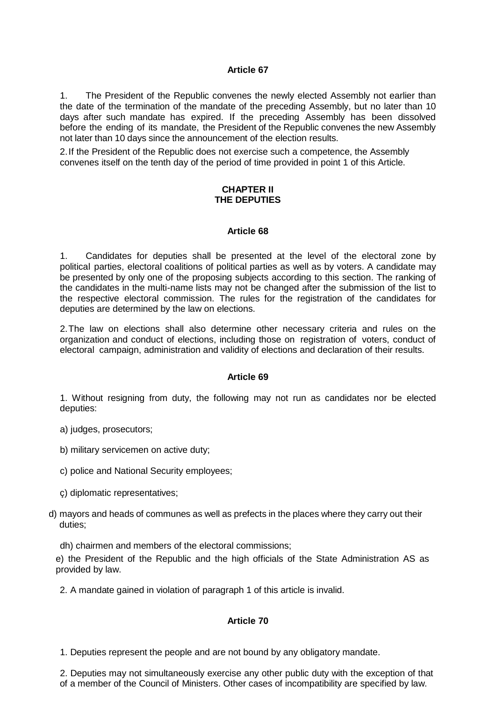1. The President of the Republic convenes the newly elected Assembly not earlier than the date of the termination of the mandate of the preceding Assembly, but no later than 10 days after such mandate has expired. If the preceding Assembly has been dissolved before the ending of its mandate, the President of the Republic convenes the new Assembly not later than 10 days since the announcement of the election results.

2.If the President of the Republic does not exercise such a competence, the Assembly convenes itself on the tenth day of the period of time provided in point 1 of this Article.

#### **CHAPTER II THE DEPUTIES**

#### **Article 68**

1. Candidates for deputies shall be presented at the level of the electoral zone by political parties, electoral coalitions of political parties as well as by voters. A candidate may be presented by only one of the proposing subjects according to this section. The ranking of the candidates in the multi-name lists may not be changed after the submission of the list to the respective electoral commission. The rules for the registration of the candidates for deputies are determined by the law on elections.

2.The law on elections shall also determine other necessary criteria and rules on the organization and conduct of elections, including those on registration of voters, conduct of electoral campaign, administration and validity of elections and declaration of their results.

#### **Article 69**

1. Without resigning from duty, the following may not run as candidates nor be elected deputies:

- a) judges, prosecutors;
- b) military servicemen on active duty;
- c) police and National Security employees;
- ç) diplomatic representatives;
- d) mayors and heads of communes as well as prefects in the places where they carry out their duties;
	- dh) chairmen and members of the electoral commissions;

e) the President of the Republic and the high officials of the State Administration AS as provided by law.

2. A mandate gained in violation of paragraph 1 of this article is invalid.

## **Article 70**

1. Deputies represent the people and are not bound by any obligatory mandate.

2. Deputies may not simultaneously exercise any other public duty with the exception of that of a member of the Council of Ministers. Other cases of incompatibility are specified by law.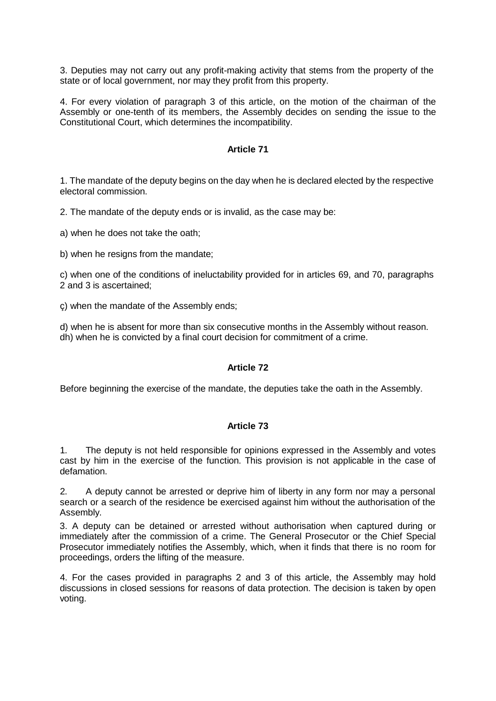3. Deputies may not carry out any profit-making activity that stems from the property of the state or of local government, nor may they profit from this property.

4. For every violation of paragraph 3 of this article, on the motion of the chairman of the Assembly or one-tenth of its members, the Assembly decides on sending the issue to the Constitutional Court, which determines the incompatibility.

#### **Article 71**

1. The mandate of the deputy begins on the day when he is declared elected by the respective electoral commission.

2. The mandate of the deputy ends or is invalid, as the case may be:

a) when he does not take the oath;

b) when he resigns from the mandate;

c) when one of the conditions of ineluctability provided for in articles 69, and 70, paragraphs 2 and 3 is ascertained;

ç) when the mandate of the Assembly ends;

d) when he is absent for more than six consecutive months in the Assembly without reason. dh) when he is convicted by a final court decision for commitment of a crime.

#### **Article 72**

Before beginning the exercise of the mandate, the deputies take the oath in the Assembly.

#### **Article 73**

1. The deputy is not held responsible for opinions expressed in the Assembly and votes cast by him in the exercise of the function. This provision is not applicable in the case of defamation.

2. A deputy cannot be arrested or deprive him of liberty in any form nor may a personal search or a search of the residence be exercised against him without the authorisation of the Assembly.

3. A deputy can be detained or arrested without authorisation when captured during or immediately after the commission of a crime. The General Prosecutor or the Chief Special Prosecutor immediately notifies the Assembly, which, when it finds that there is no room for proceedings, orders the lifting of the measure.

4. For the cases provided in paragraphs 2 and 3 of this article, the Assembly may hold discussions in closed sessions for reasons of data protection. The decision is taken by open voting.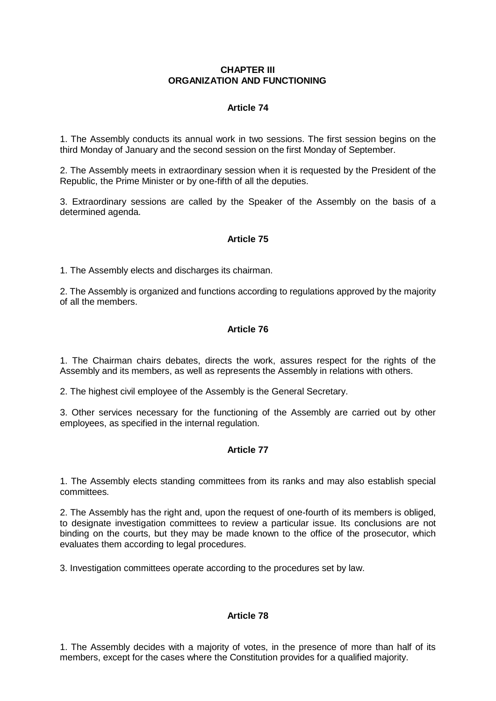#### **CHAPTER III ORGANIZATION AND FUNCTIONING**

# **Article 74**

1. The Assembly conducts its annual work in two sessions. The first session begins on the third Monday of January and the second session on the first Monday of September.

2. The Assembly meets in extraordinary session when it is requested by the President of the Republic, the Prime Minister or by one-fifth of all the deputies.

3. Extraordinary sessions are called by the Speaker of the Assembly on the basis of a determined agenda.

# **Article 75**

1. The Assembly elects and discharges its chairman.

2. The Assembly is organized and functions according to regulations approved by the majority of all the members.

## **Article 76**

1. The Chairman chairs debates, directs the work, assures respect for the rights of the Assembly and its members, as well as represents the Assembly in relations with others.

2. The highest civil employee of the Assembly is the General Secretary.

3. Other services necessary for the functioning of the Assembly are carried out by other employees, as specified in the internal regulation.

## **Article 77**

1. The Assembly elects standing committees from its ranks and may also establish special committees.

2. The Assembly has the right and, upon the request of one-fourth of its members is obliged, to designate investigation committees to review a particular issue. Its conclusions are not binding on the courts, but they may be made known to the office of the prosecutor, which evaluates them according to legal procedures.

3. Investigation committees operate according to the procedures set by law.

# **Article 78**

1. The Assembly decides with a majority of votes, in the presence of more than half of its members, except for the cases where the Constitution provides for a qualified majority.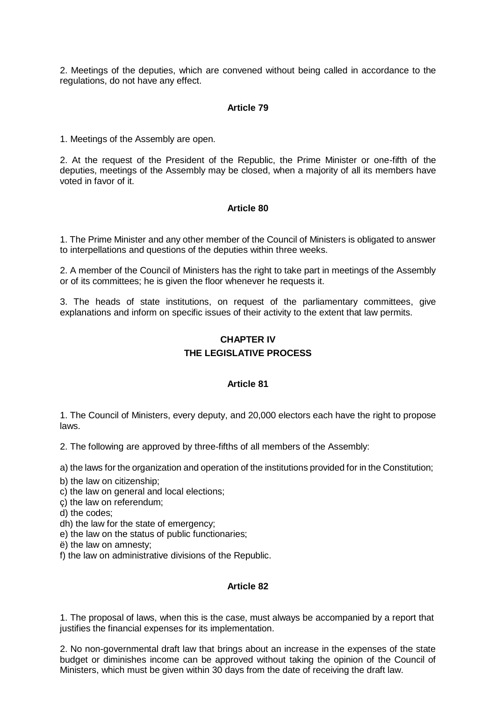2. Meetings of the deputies, which are convened without being called in accordance to the regulations, do not have any effect.

#### **Article 79**

1. Meetings of the Assembly are open.

2. At the request of the President of the Republic, the Prime Minister or one-fifth of the deputies, meetings of the Assembly may be closed, when a majority of all its members have voted in favor of it.

#### **Article 80**

1. The Prime Minister and any other member of the Council of Ministers is obligated to answer to interpellations and questions of the deputies within three weeks.

2. A member of the Council of Ministers has the right to take part in meetings of the Assembly or of its committees; he is given the floor whenever he requests it.

3. The heads of state institutions, on request of the parliamentary committees, give explanations and inform on specific issues of their activity to the extent that law permits.

# **CHAPTER IV THE LEGISLATIVE PROCESS**

#### **Article 81**

1. The Council of Ministers, every deputy, and 20,000 electors each have the right to propose laws.

2. The following are approved by three-fifths of all members of the Assembly:

a) the laws for the organization and operation of the institutions provided for in the Constitution;

- b) the law on citizenship;
- c) the law on general and local elections;
- ç) the law on referendum;
- d) the codes;
- dh) the law for the state of emergency;
- e) the law on the status of public functionaries;
- ë) the law on amnesty;
- f) the law on administrative divisions of the Republic.

#### **Article 82**

1. The proposal of laws, when this is the case, must always be accompanied by a report that justifies the financial expenses for its implementation.

2. No non-governmental draft law that brings about an increase in the expenses of the state budget or diminishes income can be approved without taking the opinion of the Council of Ministers, which must be given within 30 days from the date of receiving the draft law.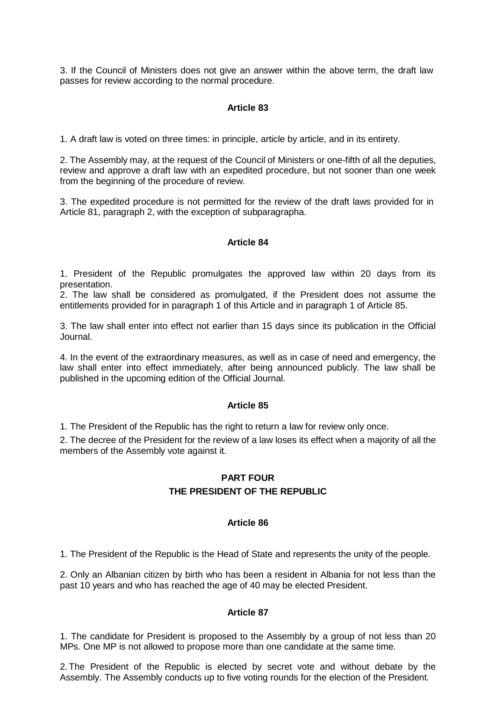3. If the Council of Ministers does not give an answer within the above term, the draft law passes for review according to the normal procedure.

## **Article 83**

1. A draft law is voted on three times: in principle, article by article, and in its entirety.

2. The Assembly may, at the request of the Council of Ministers or one-fifth of all the deputies, review and approve a draft law with an expedited procedure, but not sooner than one week from the beginning of the procedure of review.

3. The expedited procedure is not permitted for the review of the draft laws provided for in Article 81, paragraph 2, with the exception of subparagrapha.

#### **Article 84**

1. President of the Republic promulgates the approved law within 20 days from its presentation.

2. The law shall be considered as promulgated, if the President does not assume the entitlements provided for in paragraph 1 of this Article and in paragraph 1 of Article 85.

3. The law shall enter into effect not earlier than 15 days since its publication in the Official Journal.

4. In the event of the extraordinary measures, as well as in case of need and emergency, the law shall enter into effect immediately, after being announced publicly. The law shall be published in the upcoming edition of the Official Journal.

#### **Article 85**

1. The President of the Republic has the right to return a law for review only once.

2. The decree of the President for the review of a law loses its effect when a majority of all the members of the Assembly vote against it.

### **PART FOUR**

## **THE PRESIDENT OF THE REPUBLIC**

#### **Article 86**

1. The President of the Republic is the Head of State and represents the unity of the people.

2. Only an Albanian citizen by birth who has been a resident in Albania for not less than the past 10 years and who has reached the age of 40 may be elected President.

#### **Article 87**

1. The candidate for President is proposed to the Assembly by a group of not less than 20 MPs. One MP is not allowed to propose more than one candidate at the same time.

2.The President of the Republic is elected by secret vote and without debate by the Assembly. The Assembly conducts up to five voting rounds for the election of the President.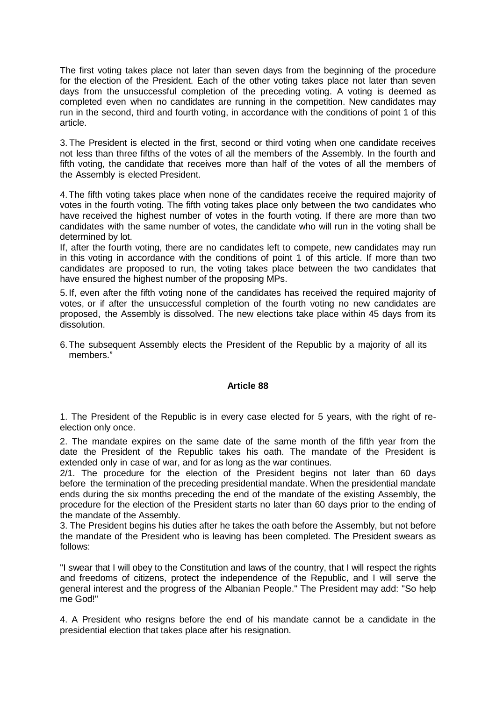The first voting takes place not later than seven days from the beginning of the procedure for the election of the President. Each of the other voting takes place not later than seven days from the unsuccessful completion of the preceding voting. A voting is deemed as completed even when no candidates are running in the competition. New candidates may run in the second, third and fourth voting, in accordance with the conditions of point 1 of this article.

3. The President is elected in the first, second or third voting when one candidate receives not less than three fifths of the votes of all the members of the Assembly. In the fourth and fifth voting, the candidate that receives more than half of the votes of all the members of the Assembly is elected President.

4.The fifth voting takes place when none of the candidates receive the required majority of votes in the fourth voting. The fifth voting takes place only between the two candidates who have received the highest number of votes in the fourth voting. If there are more than two candidates with the same number of votes, the candidate who will run in the voting shall be determined by lot.

If, after the fourth voting, there are no candidates left to compete, new candidates may run in this voting in accordance with the conditions of point 1 of this article. If more than two candidates are proposed to run, the voting takes place between the two candidates that have ensured the highest number of the proposing MPs.

5. If, even after the fifth voting none of the candidates has received the required majority of votes, or if after the unsuccessful completion of the fourth voting no new candidates are proposed, the Assembly is dissolved. The new elections take place within 45 days from its dissolution.

6.The subsequent Assembly elects the President of the Republic by a majority of all its members."

## **Article 88**

1. The President of the Republic is in every case elected for 5 years, with the right of reelection only once.

2. The mandate expires on the same date of the same month of the fifth year from the date the President of the Republic takes his oath. The mandate of the President is extended only in case of war, and for as long as the war continues.

2/1. The procedure for the election of the President begins not later than 60 days before the termination of the preceding presidential mandate. When the presidential mandate ends during the six months preceding the end of the mandate of the existing Assembly, the procedure for the election of the President starts no later than 60 days prior to the ending of the mandate of the Assembly.

3. The President begins his duties after he takes the oath before the Assembly, but not before the mandate of the President who is leaving has been completed. The President swears as follows:

"I swear that I will obey to the Constitution and laws of the country, that I will respect the rights and freedoms of citizens, protect the independence of the Republic, and I will serve the general interest and the progress of the Albanian People." The President may add: "So help me God!"

4. A President who resigns before the end of his mandate cannot be a candidate in the presidential election that takes place after his resignation.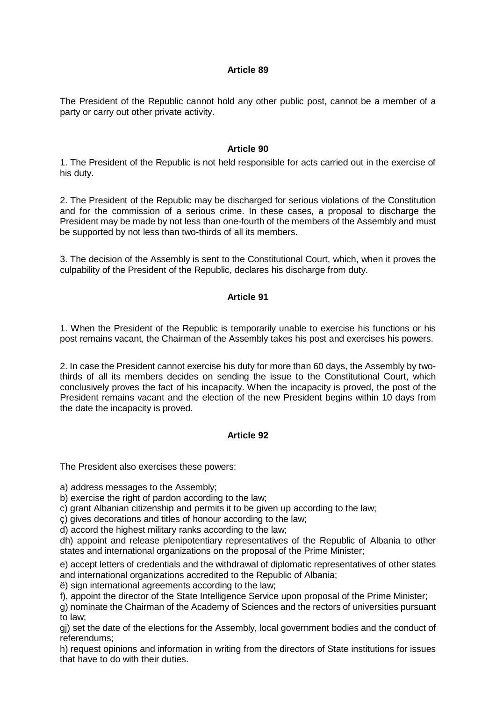The President of the Republic cannot hold any other public post, cannot be a member of a party or carry out other private activity.

#### **Article 90**

1. The President of the Republic is not held responsible for acts carried out in the exercise of his duty.

2. The President of the Republic may be discharged for serious violations of the Constitution and for the commission of a serious crime. In these cases, a proposal to discharge the President may be made by not less than one-fourth of the members of the Assembly and must be supported by not less than two-thirds of all its members.

3. The decision of the Assembly is sent to the Constitutional Court, which, when it proves the culpability of the President of the Republic, declares his discharge from duty.

## **Article 91**

1. When the President of the Republic is temporarily unable to exercise his functions or his post remains vacant, the Chairman of the Assembly takes his post and exercises his powers.

2. In case the President cannot exercise his duty for more than 60 days, the Assembly by twothirds of all its members decides on sending the issue to the Constitutional Court, which conclusively proves the fact of his incapacity. When the incapacity is proved, the post of the President remains vacant and the election of the new President begins within 10 days from the date the incapacity is proved.

## **Article 92**

The President also exercises these powers:

a) address messages to the Assembly;

b) exercise the right of pardon according to the law;

c) grant Albanian citizenship and permits it to be given up according to the law;

ç) gives decorations and titles of honour according to the law;

d) accord the highest military ranks according to the law;

dh) appoint and release plenipotentiary representatives of the Republic of Albania to other states and international organizations on the proposal of the Prime Minister;

e) accept letters of credentials and the withdrawal of diplomatic representatives of other states and international organizations accredited to the Republic of Albania;

ë) sign international agreements according to the law;

f), appoint the director of the State Intelligence Service upon proposal of the Prime Minister;

g) nominate the Chairman of the Academy of Sciences and the rectors of universities pursuant to law;

gj) set the date of the elections for the Assembly, local government bodies and the conduct of referendums;

h) request opinions and information in writing from the directors of State institutions for issues that have to do with their duties.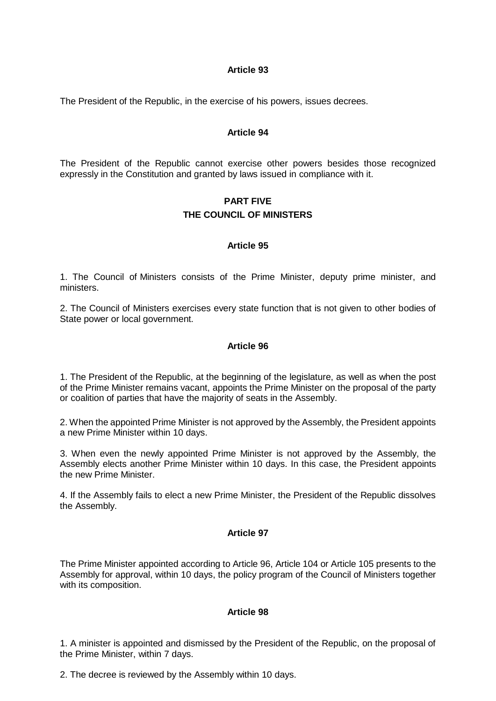The President of the Republic, in the exercise of his powers, issues decrees.

### **Article 94**

The President of the Republic cannot exercise other powers besides those recognized expressly in the Constitution and granted by laws issued in compliance with it.

# **PART FIVE THE COUNCIL OF MINISTERS**

#### **Article 95**

1. The Council of Ministers consists of the Prime Minister, deputy prime minister, and ministers.

2. The Council of Ministers exercises every state function that is not given to other bodies of State power or local government.

#### **Article 96**

1. The President of the Republic, at the beginning of the legislature, as well as when the post of the Prime Minister remains vacant, appoints the Prime Minister on the proposal of the party or coalition of parties that have the majority of seats in the Assembly.

2. When the appointed Prime Minister is not approved by the Assembly, the President appoints a new Prime Minister within 10 days.

3. When even the newly appointed Prime Minister is not approved by the Assembly, the Assembly elects another Prime Minister within 10 days. In this case, the President appoints the new Prime Minister.

4. If the Assembly fails to elect a new Prime Minister, the President of the Republic dissolves the Assembly.

#### **Article 97**

The Prime Minister appointed according to Article 96, Article 104 or Article 105 presents to the Assembly for approval, within 10 days, the policy program of the Council of Ministers together with its composition.

#### **Article 98**

1. A minister is appointed and dismissed by the President of the Republic, on the proposal of the Prime Minister, within 7 days.

2. The decree is reviewed by the Assembly within 10 days.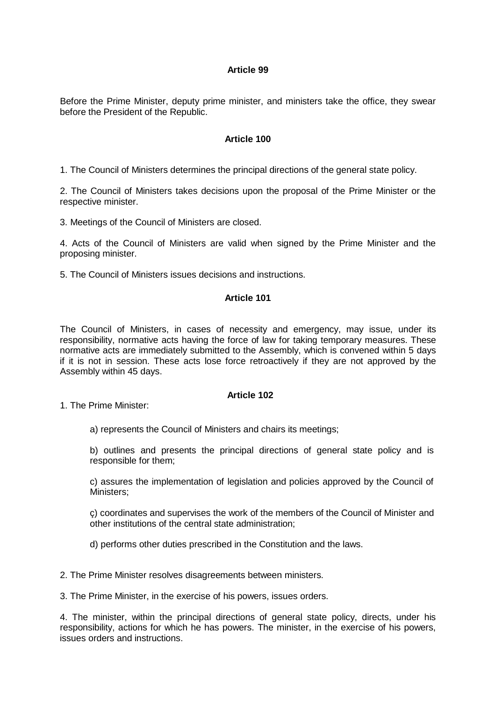Before the Prime Minister, deputy prime minister, and ministers take the office, they swear before the President of the Republic.

#### **Article 100**

1. The Council of Ministers determines the principal directions of the general state policy.

2. The Council of Ministers takes decisions upon the proposal of the Prime Minister or the respective minister.

3. Meetings of the Council of Ministers are closed.

4. Acts of the Council of Ministers are valid when signed by the Prime Minister and the proposing minister.

5. The Council of Ministers issues decisions and instructions.

### **Article 101**

The Council of Ministers, in cases of necessity and emergency, may issue, under its responsibility, normative acts having the force of law for taking temporary measures. These normative acts are immediately submitted to the Assembly, which is convened within 5 days if it is not in session. These acts lose force retroactively if they are not approved by the Assembly within 45 days.

## **Article 102**

1. The Prime Minister:

a) represents the Council of Ministers and chairs its meetings;

b) outlines and presents the principal directions of general state policy and is responsible for them;

c) assures the implementation of legislation and policies approved by the Council of Ministers;

ç) coordinates and supervises the work of the members of the Council of Minister and other institutions of the central state administration;

d) performs other duties prescribed in the Constitution and the laws.

2. The Prime Minister resolves disagreements between ministers.

3. The Prime Minister, in the exercise of his powers, issues orders.

4. The minister, within the principal directions of general state policy, directs, under his responsibility, actions for which he has powers. The minister, in the exercise of his powers, issues orders and instructions.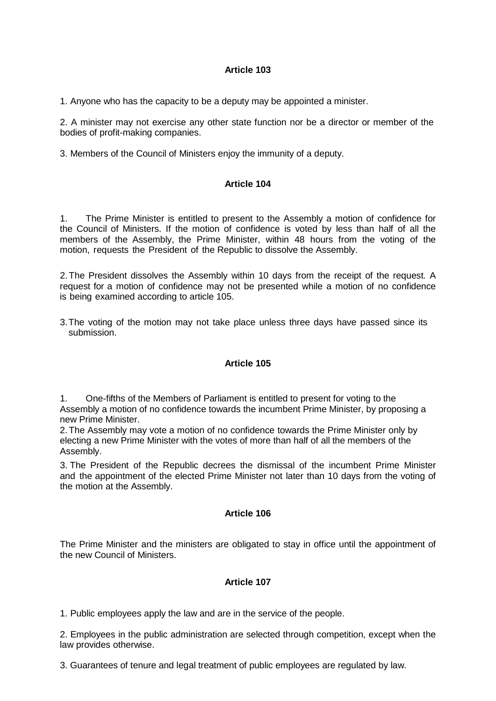1. Anyone who has the capacity to be a deputy may be appointed a minister.

2. A minister may not exercise any other state function nor be a director or member of the bodies of profit-making companies.

3. Members of the Council of Ministers enjoy the immunity of a deputy.

## **Article 104**

1. The Prime Minister is entitled to present to the Assembly a motion of confidence for the Council of Ministers. If the motion of confidence is voted by less than half of all the members of the Assembly, the Prime Minister, within 48 hours from the voting of the motion, requests the President of the Republic to dissolve the Assembly.

2.The President dissolves the Assembly within 10 days from the receipt of the request. A request for a motion of confidence may not be presented while a motion of no confidence is being examined according to article 105.

3.The voting of the motion may not take place unless three days have passed since its submission.

## **Article 105**

1. One-fifths of the Members of Parliament is entitled to present for voting to the Assembly a motion of no confidence towards the incumbent Prime Minister, by proposing a new Prime Minister.

2.The Assembly may vote a motion of no confidence towards the Prime Minister only by electing a new Prime Minister with the votes of more than half of all the members of the Assembly.

3. The President of the Republic decrees the dismissal of the incumbent Prime Minister and the appointment of the elected Prime Minister not later than 10 days from the voting of the motion at the Assembly.

#### **Article 106**

The Prime Minister and the ministers are obligated to stay in office until the appointment of the new Council of Ministers.

## **Article 107**

1. Public employees apply the law and are in the service of the people.

2. Employees in the public administration are selected through competition, except when the law provides otherwise.

3. Guarantees of tenure and legal treatment of public employees are regulated by law.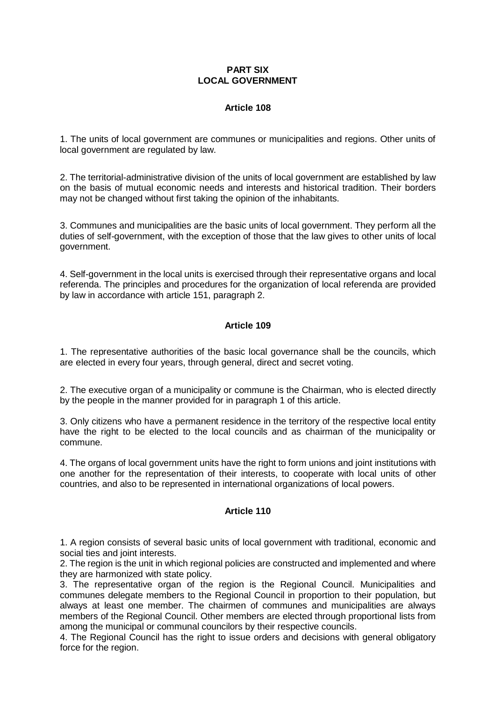### **PART SIX LOCAL GOVERNMENT**

## **Article 108**

1. The units of local government are communes or municipalities and regions. Other units of local government are regulated by law.

2. The territorial-administrative division of the units of local government are established by law on the basis of mutual economic needs and interests and historical tradition. Their borders may not be changed without first taking the opinion of the inhabitants.

3. Communes and municipalities are the basic units of local government. They perform all the duties of self-government, with the exception of those that the law gives to other units of local government.

4. Self-government in the local units is exercised through their representative organs and local referenda. The principles and procedures for the organization of local referenda are provided by law in accordance with article 151, paragraph 2.

# **Article 109**

1. The representative authorities of the basic local governance shall be the councils, which are elected in every four years, through general, direct and secret voting.

2. The executive organ of a municipality or commune is the Chairman, who is elected directly by the people in the manner provided for in paragraph 1 of this article.

3. Only citizens who have a permanent residence in the territory of the respective local entity have the right to be elected to the local councils and as chairman of the municipality or commune.

4. The organs of local government units have the right to form unions and joint institutions with one another for the representation of their interests, to cooperate with local units of other countries, and also to be represented in international organizations of local powers.

## **Article 110**

1. A region consists of several basic units of local government with traditional, economic and social ties and joint interests.

2. The region is the unit in which regional policies are constructed and implemented and where they are harmonized with state policy.

3. The representative organ of the region is the Regional Council. Municipalities and communes delegate members to the Regional Council in proportion to their population, but always at least one member. The chairmen of communes and municipalities are always members of the Regional Council. Other members are elected through proportional lists from among the municipal or communal councilors by their respective councils.

4. The Regional Council has the right to issue orders and decisions with general obligatory force for the region.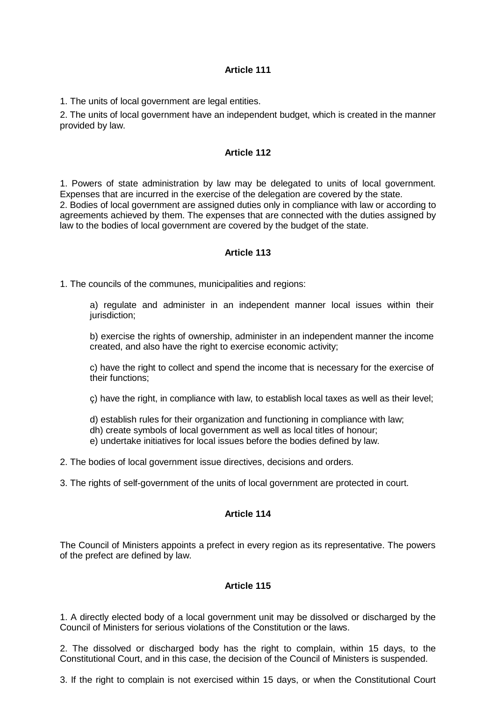1. The units of local government are legal entities.

2. The units of local government have an independent budget, which is created in the manner provided by law.

#### **Article 112**

1. Powers of state administration by law may be delegated to units of local government. Expenses that are incurred in the exercise of the delegation are covered by the state. 2. Bodies of local government are assigned duties only in compliance with law or according to agreements achieved by them. The expenses that are connected with the duties assigned by law to the bodies of local government are covered by the budget of the state.

#### **Article 113**

1. The councils of the communes, municipalities and regions:

a) regulate and administer in an independent manner local issues within their jurisdiction;

b) exercise the rights of ownership, administer in an independent manner the income created, and also have the right to exercise economic activity;

c) have the right to collect and spend the income that is necessary for the exercise of their functions;

ç) have the right, in compliance with law, to establish local taxes as well as their level;

d) establish rules for their organization and functioning in compliance with law;

dh) create symbols of local government as well as local titles of honour;

e) undertake initiatives for local issues before the bodies defined by law.

2. The bodies of local government issue directives, decisions and orders.

3. The rights of self-government of the units of local government are protected in court.

#### **Article 114**

The Council of Ministers appoints a prefect in every region as its representative. The powers of the prefect are defined by law.

## **Article 115**

1. A directly elected body of a local government unit may be dissolved or discharged by the Council of Ministers for serious violations of the Constitution or the laws.

2. The dissolved or discharged body has the right to complain, within 15 days, to the Constitutional Court, and in this case, the decision of the Council of Ministers is suspended.

3. If the right to complain is not exercised within 15 days, or when the Constitutional Court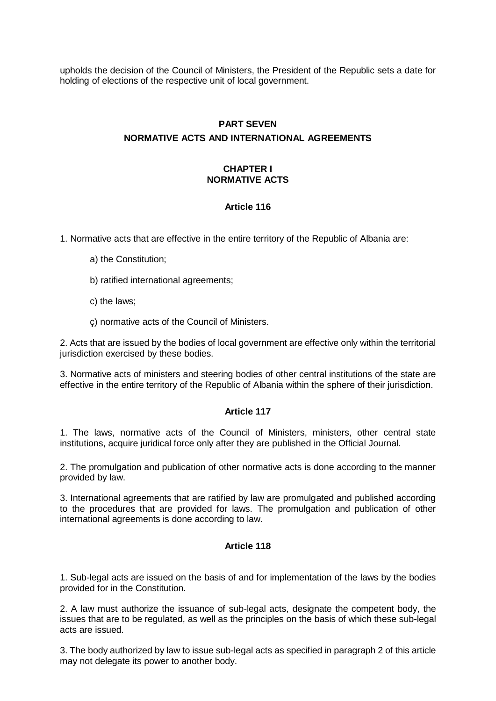upholds the decision of the Council of Ministers, the President of the Republic sets a date for holding of elections of the respective unit of local government.

# **PART SEVEN NORMATIVE ACTS AND INTERNATIONAL AGREEMENTS**

# **CHAPTER I NORMATIVE ACTS**

## **Article 116**

1. Normative acts that are effective in the entire territory of the Republic of Albania are:

- a) the Constitution;
- b) ratified international agreements;
- c) the laws;

ç) normative acts of the Council of Ministers.

2. Acts that are issued by the bodies of local government are effective only within the territorial jurisdiction exercised by these bodies.

3. Normative acts of ministers and steering bodies of other central institutions of the state are effective in the entire territory of the Republic of Albania within the sphere of their jurisdiction.

## **Article 117**

1. The laws, normative acts of the Council of Ministers, ministers, other central state institutions, acquire juridical force only after they are published in the Official Journal.

2. The promulgation and publication of other normative acts is done according to the manner provided by law.

3. International agreements that are ratified by law are promulgated and published according to the procedures that are provided for laws. The promulgation and publication of other international agreements is done according to law.

## **Article 118**

1. Sub-legal acts are issued on the basis of and for implementation of the laws by the bodies provided for in the Constitution.

2. A law must authorize the issuance of sub-legal acts, designate the competent body, the issues that are to be regulated, as well as the principles on the basis of which these sub-legal acts are issued.

3. The body authorized by law to issue sub-legal acts as specified in paragraph 2 of this article may not delegate its power to another body.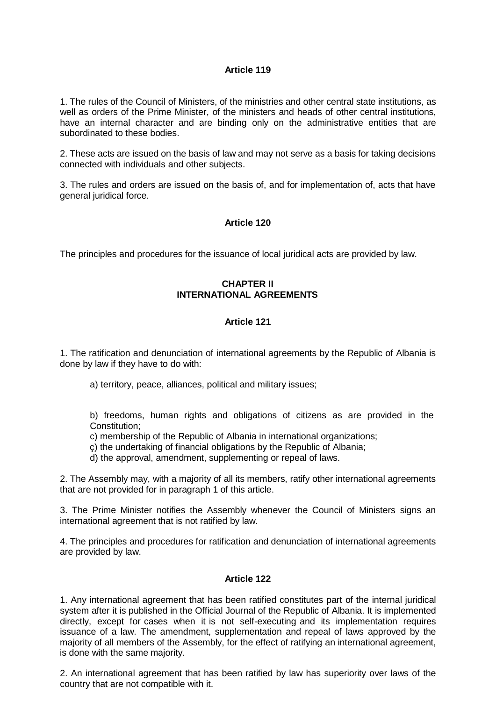1. The rules of the Council of Ministers, of the ministries and other central state institutions, as well as orders of the Prime Minister, of the ministers and heads of other central institutions, have an internal character and are binding only on the administrative entities that are subordinated to these bodies.

2. These acts are issued on the basis of law and may not serve as a basis for taking decisions connected with individuals and other subjects.

3. The rules and orders are issued on the basis of, and for implementation of, acts that have general juridical force.

## **Article 120**

The principles and procedures for the issuance of local juridical acts are provided by law.

## **CHAPTER II INTERNATIONAL AGREEMENTS**

## **Article 121**

1. The ratification and denunciation of international agreements by the Republic of Albania is done by law if they have to do with:

a) territory, peace, alliances, political and military issues;

b) freedoms, human rights and obligations of citizens as are provided in the Constitution;

- c) membership of the Republic of Albania in international organizations;
- ç) the undertaking of financial obligations by the Republic of Albania;
- d) the approval, amendment, supplementing or repeal of laws.

2. The Assembly may, with a majority of all its members, ratify other international agreements that are not provided for in paragraph 1 of this article.

3. The Prime Minister notifies the Assembly whenever the Council of Ministers signs an international agreement that is not ratified by law.

4. The principles and procedures for ratification and denunciation of international agreements are provided by law.

#### **Article 122**

1. Any international agreement that has been ratified constitutes part of the internal juridical system after it is published in the Official Journal of the Republic of Albania. It is implemented directly, except for cases when it is not self-executing and its implementation requires issuance of a law. The amendment, supplementation and repeal of laws approved by the majority of all members of the Assembly, for the effect of ratifying an international agreement, is done with the same majority.

2. An international agreement that has been ratified by law has superiority over laws of the country that are not compatible with it.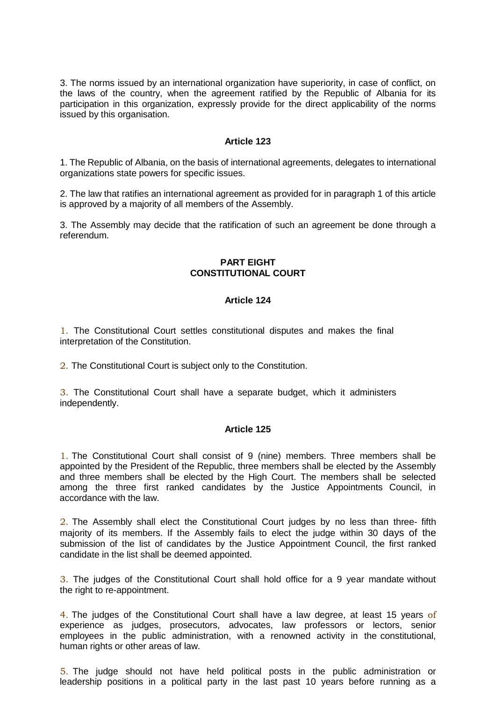3. The norms issued by an international organization have superiority, in case of conflict, on the laws of the country, when the agreement ratified by the Republic of Albania for its participation in this organization, expressly provide for the direct applicability of the norms issued by this organisation.

### **Article 123**

1. The Republic of Albania, on the basis of international agreements, delegates to international organizations state powers for specific issues.

2. The law that ratifies an international agreement as provided for in paragraph 1 of this article is approved by a majority of all members of the Assembly.

3. The Assembly may decide that the ratification of such an agreement be done through a referendum.

### **PART EIGHT CONSTITUTIONAL COURT**

## **Article 124**

1. The Constitutional Court settles constitutional disputes and makes the final interpretation of the Constitution.

2. The Constitutional Court is subject only to the Constitution.

3. The Constitutional Court shall have a separate budget, which it administers independently.

#### **Article 125**

1. The Constitutional Court shall consist of 9 (nine) members. Three members shall be appointed by the President of the Republic, three members shall be elected by the Assembly and three members shall be elected by the High Court. The members shall be selected among the three first ranked candidates by the Justice Appointments Council, in accordance with the law.

2. The Assembly shall elect the Constitutional Court judges by no less than three- fifth majority of its members. If the Assembly fails to elect the judge within 30 days of the submission of the list of candidates by the Justice Appointment Council, the first ranked candidate in the list shall be deemed appointed.

3. The judges of the Constitutional Court shall hold office for a 9 year mandate without the right to re-appointment.

4. The judges of the Constitutional Court shall have a law degree, at least 15 years of experience as judges, prosecutors, advocates, law professors or lectors, senior employees in the public administration, with a renowned activity in the constitutional, human rights or other areas of law.

5. The judge should not have held political posts in the public administration or leadership positions in a political party in the last past 10 years before running as a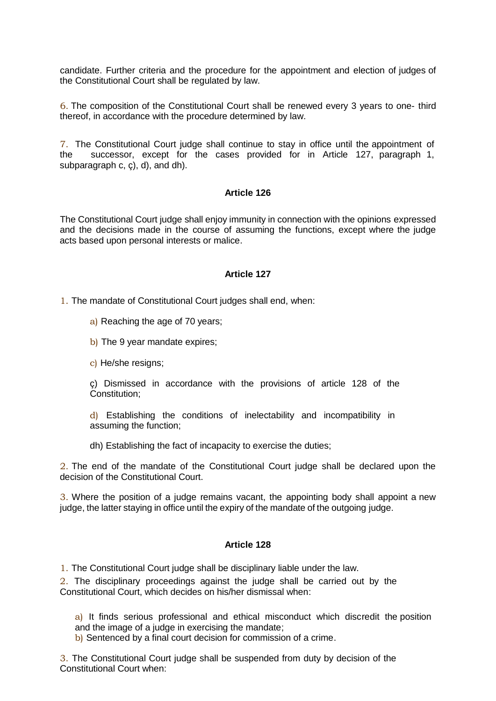candidate. Further criteria and the procedure for the appointment and election of judges of the Constitutional Court shall be regulated by law.

6. The composition of the Constitutional Court shall be renewed every 3 years to one- third thereof, in accordance with the procedure determined by law.

7. The Constitutional Court judge shall continue to stay in office until the appointment of the successor, except for the cases provided for in Article 127, paragraph 1, subparagraph c, ç), d), and dh).

#### **Article 126**

The Constitutional Court judge shall enjoy immunity in connection with the opinions expressed and the decisions made in the course of assuming the functions, except where the judge acts based upon personal interests or malice.

#### **Article 127**

1. The mandate of Constitutional Court judges shall end, when:

- a) Reaching the age of 70 years;
- b) The 9 year mandate expires;
- c) He/she resigns;

ç) Dismissed in accordance with the provisions of article 128 of the Constitution;

d) Establishing the conditions of inelectability and incompatibility in assuming the function;

dh) Establishing the fact of incapacity to exercise the duties;

2. The end of the mandate of the Constitutional Court judge shall be declared upon the decision of the Constitutional Court.

3. Where the position of a judge remains vacant, the appointing body shall appoint a new judge, the latter staying in office until the expiry of the mandate of the outgoing judge.

#### **Article 128**

1. The Constitutional Court judge shall be disciplinary liable under the law.

2. The disciplinary proceedings against the judge shall be carried out by the Constitutional Court, which decides on his/her dismissal when:

a) It finds serious professional and ethical misconduct which discredit the position and the image of a judge in exercising the mandate;

b) Sentenced by a final court decision for commission of a crime.

3. The Constitutional Court judge shall be suspended from duty by decision of the Constitutional Court when: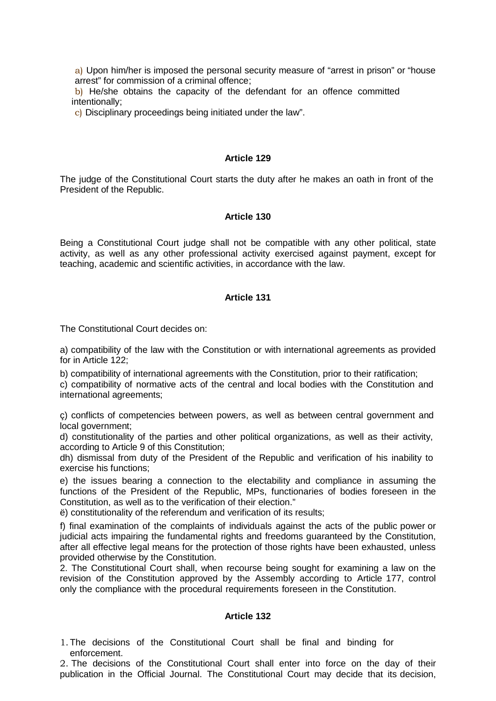a) Upon him/her is imposed the personal security measure of "arrest in prison" or "house arrest" for commission of a criminal offence;

b) He/she obtains the capacity of the defendant for an offence committed intentionally;

c) Disciplinary proceedings being initiated under the law".

#### **Article 129**

The judge of the Constitutional Court starts the duty after he makes an oath in front of the President of the Republic.

#### **Article 130**

Being a Constitutional Court judge shall not be compatible with any other political, state activity, as well as any other professional activity exercised against payment, except for teaching, academic and scientific activities, in accordance with the law.

### **Article 131**

The Constitutional Court decides on:

a) compatibility of the law with the Constitution or with international agreements as provided for in Article 122;

b) compatibility of international agreements with the Constitution, prior to their ratification;

c) compatibility of normative acts of the central and local bodies with the Constitution and international agreements;

ç) conflicts of competencies between powers, as well as between central government and local government;

d) constitutionality of the parties and other political organizations, as well as their activity, according to Article 9 of this Constitution;

dh) dismissal from duty of the President of the Republic and verification of his inability to exercise his functions;

e) the issues bearing a connection to the electability and compliance in assuming the functions of the President of the Republic, MPs, functionaries of bodies foreseen in the Constitution, as well as to the verification of their election."

ë) constitutionality of the referendum and verification of its results;

f) final examination of the complaints of individuals against the acts of the public power or judicial acts impairing the fundamental rights and freedoms guaranteed by the Constitution, after all effective legal means for the protection of those rights have been exhausted, unless provided otherwise by the Constitution.

2. The Constitutional Court shall, when recourse being sought for examining a law on the revision of the Constitution approved by the Assembly according to Article 177, control only the compliance with the procedural requirements foreseen in the Constitution.

#### **Article 132**

1.The decisions of the Constitutional Court shall be final and binding for enforcement.

2. The decisions of the Constitutional Court shall enter into force on the day of their publication in the Official Journal. The Constitutional Court may decide that its decision,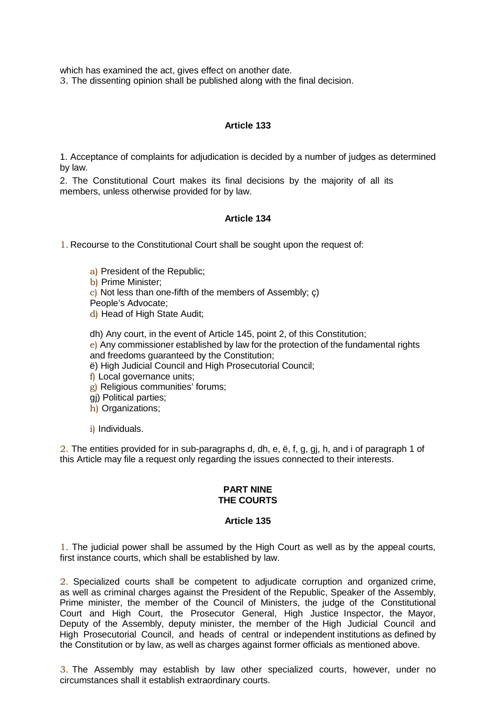which has examined the act, gives effect on another date.

3. The dissenting opinion shall be published along with the final decision.

# **Article 133**

1. Acceptance of complaints for adjudication is decided by a number of judges as determined by law.

2. The Constitutional Court makes its final decisions by the majority of all its members, unless otherwise provided for by law.

# **Article 134**

1. Recourse to the Constitutional Court shall be sought upon the request of:

a) President of the Republic;

b) Prime Minister;

c) Not less than one-fifth of the members of Assembly; ç)

People's Advocate;

d) Head of High State Audit;

- dh) Any court, in the event of Article 145, point 2, of this Constitution;
- e) Any commissioner established by law for the protection of the fundamental rights and freedoms guaranteed by the Constitution;
- ë) High Judicial Council and High Prosecutorial Council;
- f) Local governance units;

g) Religious communities' forums;

- gj) Political parties;
- h) Organizations;
- i) Individuals.

2. The entities provided for in sub-paragraphs d, dh, e, ë, f, g, gj, h, and i of paragraph 1 of this Article may file a request only regarding the issues connected to their interests.

#### **PART NINE THE COURTS**

## **Article 135**

1. The judicial power shall be assumed by the High Court as well as by the appeal courts, first instance courts, which shall be established by law.

2. Specialized courts shall be competent to adjudicate corruption and organized crime, as well as criminal charges against the President of the Republic, Speaker of the Assembly, Prime minister, the member of the Council of Ministers, the judge of the Constitutional Court and High Court, the Prosecutor General, High Justice Inspector, the Mayor, Deputy of the Assembly, deputy minister, the member of the High Judicial Council and High Prosecutorial Council, and heads of central or independent institutions as defined by the Constitution or by law, as well as charges against former officials as mentioned above.

3. The Assembly may establish by law other specialized courts, however, under no circumstances shall it establish extraordinary courts.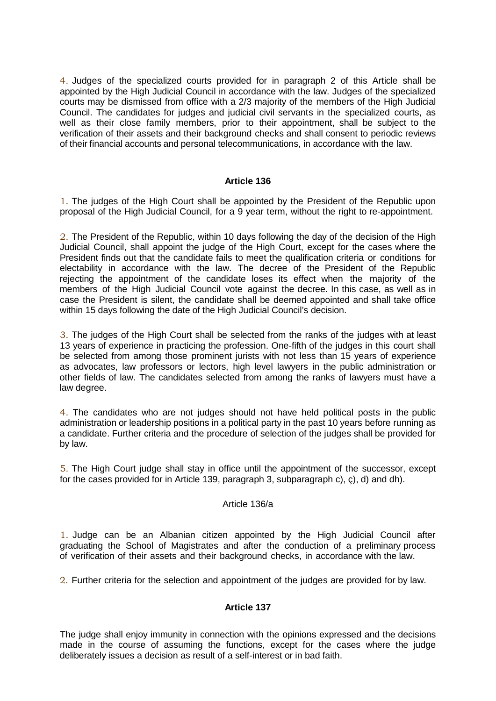4. Judges of the specialized courts provided for in paragraph 2 of this Article shall be appointed by the High Judicial Council in accordance with the law. Judges of the specialized courts may be dismissed from office with a 2/3 majority of the members of the High Judicial Council. The candidates for judges and judicial civil servants in the specialized courts, as well as their close family members, prior to their appointment, shall be subject to the verification of their assets and their background checks and shall consent to periodic reviews of their financial accounts and personal telecommunications, in accordance with the law.

#### **Article 136**

1. The judges of the High Court shall be appointed by the President of the Republic upon proposal of the High Judicial Council, for a 9 year term, without the right to re-appointment.

2. The President of the Republic, within 10 days following the day of the decision of the High Judicial Council, shall appoint the judge of the High Court, except for the cases where the President finds out that the candidate fails to meet the qualification criteria or conditions for electability in accordance with the law. The decree of the President of the Republic rejecting the appointment of the candidate loses its effect when the majority of the members of the High Judicial Council vote against the decree. In this case, as well as in case the President is silent, the candidate shall be deemed appointed and shall take office within 15 days following the date of the High Judicial Council's decision.

3. The judges of the High Court shall be selected from the ranks of the judges with at least 13 years of experience in practicing the profession. One-fifth of the judges in this court shall be selected from among those prominent jurists with not less than 15 years of experience as advocates, law professors or lectors, high level lawyers in the public administration or other fields of law. The candidates selected from among the ranks of lawyers must have a law degree.

4. The candidates who are not judges should not have held political posts in the public administration or leadership positions in a political party in the past 10 years before running as a candidate. Further criteria and the procedure of selection of the judges shall be provided for by law.

5. The High Court judge shall stay in office until the appointment of the successor, except for the cases provided for in Article 139, paragraph 3, subparagraph c), ç), d) and dh).

#### Article 136/a

1. Judge can be an Albanian citizen appointed by the High Judicial Council after graduating the School of Magistrates and after the conduction of a preliminary process of verification of their assets and their background checks, in accordance with the law.

2. Further criteria for the selection and appointment of the judges are provided for by law.

## **Article 137**

The judge shall enjoy immunity in connection with the opinions expressed and the decisions made in the course of assuming the functions, except for the cases where the judge deliberately issues a decision as result of a self-interest or in bad faith.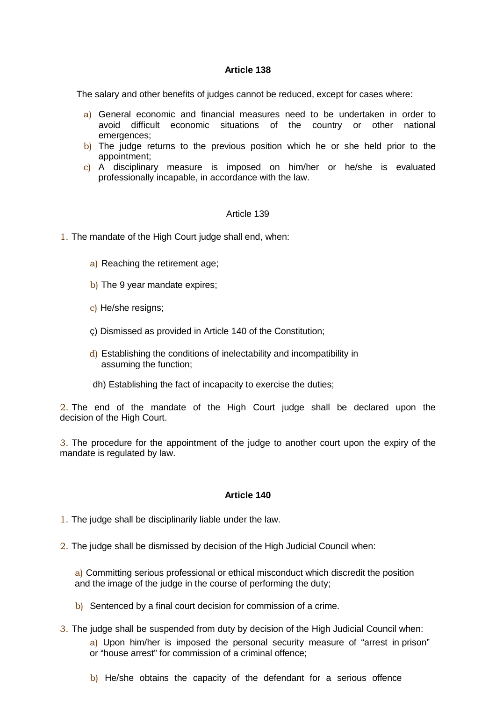The salary and other benefits of judges cannot be reduced, except for cases where:

- a) General economic and financial measures need to be undertaken in order to avoid difficult economic situations of the country or other national emergences;
- b) The judge returns to the previous position which he or she held prior to the appointment;
- c) A disciplinary measure is imposed on him/her or he/she is evaluated professionally incapable, in accordance with the law.

#### Article 139

- 1. The mandate of the High Court judge shall end, when:
	- a) Reaching the retirement age;
	- b) The 9 year mandate expires;
	- c) He/she resigns;
	- ç) Dismissed as provided in Article 140 of the Constitution;
	- d) Establishing the conditions of inelectability and incompatibility in assuming the function;
	- dh) Establishing the fact of incapacity to exercise the duties;

2. The end of the mandate of the High Court judge shall be declared upon the decision of the High Court.

3. The procedure for the appointment of the judge to another court upon the expiry of the mandate is regulated by law.

#### **Article 140**

- 1. The judge shall be disciplinarily liable under the law.
- 2. The judge shall be dismissed by decision of the High Judicial Council when:

a) Committing serious professional or ethical misconduct which discredit the position and the image of the judge in the course of performing the duty;

- b) Sentenced by a final court decision for commission of a crime.
- 3. The judge shall be suspended from duty by decision of the High Judicial Council when: a) Upon him/her is imposed the personal security measure of "arrest in prison" or "house arrest" for commission of a criminal offence;
	- b) He/she obtains the capacity of the defendant for a serious offence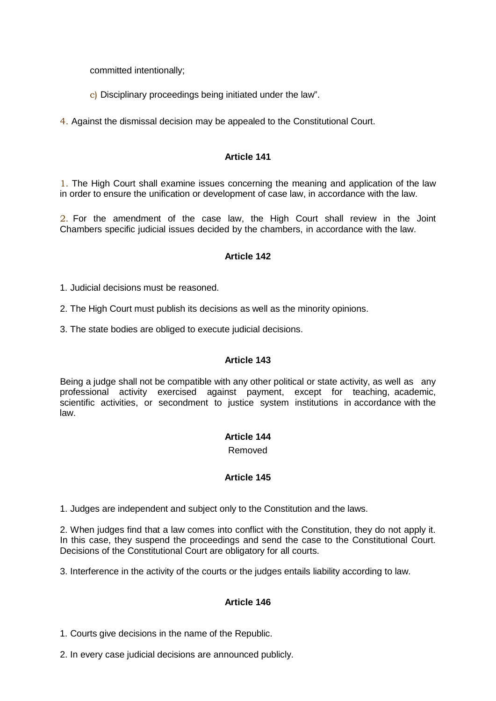committed intentionally;

c) Disciplinary proceedings being initiated under the law".

4. Against the dismissal decision may be appealed to the Constitutional Court.

## **Article 141**

1. The High Court shall examine issues concerning the meaning and application of the law in order to ensure the unification or development of case law, in accordance with the law.

2. For the amendment of the case law, the High Court shall review in the Joint Chambers specific judicial issues decided by the chambers, in accordance with the law.

# **Article 142**

1. Judicial decisions must be reasoned.

2. The High Court must publish its decisions as well as the minority opinions.

3. The state bodies are obliged to execute judicial decisions.

## **Article 143**

Being a judge shall not be compatible with any other political or state activity, as well as any professional activity exercised against payment, except for teaching, academic, scientific activities, or secondment to justice system institutions in accordance with the law.

## **Article 144**

Removed

## **Article 145**

1. Judges are independent and subject only to the Constitution and the laws.

2. When judges find that a law comes into conflict with the Constitution, they do not apply it. In this case, they suspend the proceedings and send the case to the Constitutional Court. Decisions of the Constitutional Court are obligatory for all courts.

3. Interference in the activity of the courts or the judges entails liability according to law.

# **Article 146**

1. Courts give decisions in the name of the Republic.

2. In every case judicial decisions are announced publicly.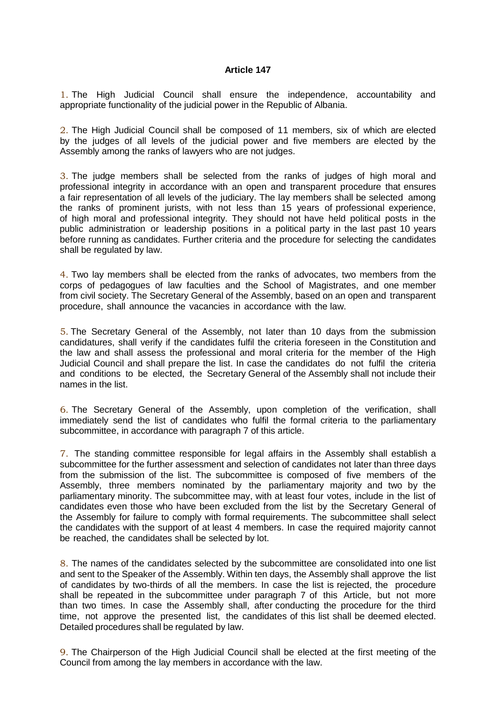1. The High Judicial Council shall ensure the independence, accountability and appropriate functionality of the judicial power in the Republic of Albania.

2. The High Judicial Council shall be composed of 11 members, six of which are elected by the judges of all levels of the judicial power and five members are elected by the Assembly among the ranks of lawyers who are not judges.

3. The judge members shall be selected from the ranks of judges of high moral and professional integrity in accordance with an open and transparent procedure that ensures a fair representation of all levels of the judiciary. The lay members shall be selected among the ranks of prominent jurists, with not less than 15 years of professional experience, of high moral and professional integrity. They should not have held political posts in the public administration or leadership positions in a political party in the last past 10 years before running as candidates. Further criteria and the procedure for selecting the candidates shall be regulated by law.

4. Two lay members shall be elected from the ranks of advocates, two members from the corps of pedagogues of law faculties and the School of Magistrates, and one member from civil society. The Secretary General of the Assembly, based on an open and transparent procedure, shall announce the vacancies in accordance with the law.

5. The Secretary General of the Assembly, not later than 10 days from the submission candidatures, shall verify if the candidates fulfil the criteria foreseen in the Constitution and the law and shall assess the professional and moral criteria for the member of the High Judicial Council and shall prepare the list. In case the candidates do not fulfil the criteria and conditions to be elected, the Secretary General of the Assembly shall not include their names in the list.

6. The Secretary General of the Assembly, upon completion of the verification, shall immediately send the list of candidates who fulfil the formal criteria to the parliamentary subcommittee, in accordance with paragraph 7 of this article.

7. The standing committee responsible for legal affairs in the Assembly shall establish a subcommittee for the further assessment and selection of candidates not later than three days from the submission of the list. The subcommittee is composed of five members of the Assembly, three members nominated by the parliamentary majority and two by the parliamentary minority. The subcommittee may, with at least four votes, include in the list of candidates even those who have been excluded from the list by the Secretary General of the Assembly for failure to comply with formal requirements. The subcommittee shall select the candidates with the support of at least 4 members. In case the required majority cannot be reached, the candidates shall be selected by lot.

8. The names of the candidates selected by the subcommittee are consolidated into one list and sent to the Speaker of the Assembly. Within ten days, the Assembly shall approve the list of candidates by two-thirds of all the members. In case the list is rejected, the procedure shall be repeated in the subcommittee under paragraph 7 of this Article, but not more than two times. In case the Assembly shall, after conducting the procedure for the third time, not approve the presented list, the candidates of this list shall be deemed elected. Detailed procedures shall be regulated by law.

9. The Chairperson of the High Judicial Council shall be elected at the first meeting of the Council from among the lay members in accordance with the law.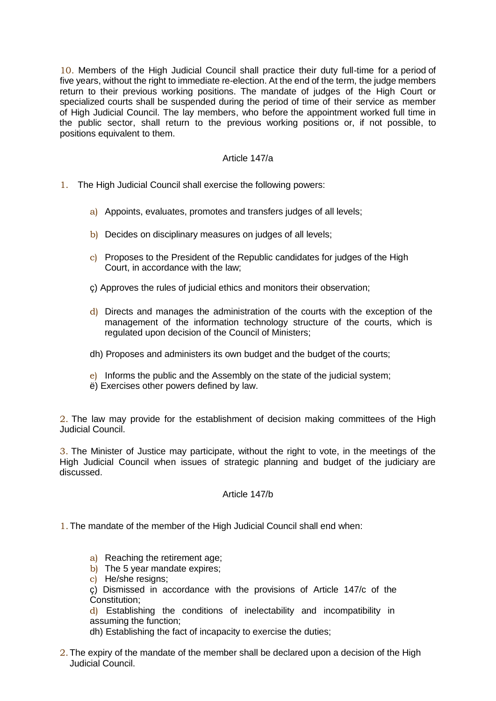10. Members of the High Judicial Council shall practice their duty full-time for a period of five years, without the right to immediate re-election. At the end of the term, the judge members return to their previous working positions. The mandate of judges of the High Court or specialized courts shall be suspended during the period of time of their service as member of High Judicial Council. The lay members, who before the appointment worked full time in the public sector, shall return to the previous working positions or, if not possible, to positions equivalent to them.

## Article 147/a

- 1. The High Judicial Council shall exercise the following powers:
	- a) Appoints, evaluates, promotes and transfers judges of all levels;
	- b) Decides on disciplinary measures on judges of all levels;
	- c) Proposes to the President of the Republic candidates for judges of the High Court, in accordance with the law;
	- ç) Approves the rules of judicial ethics and monitors their observation;
	- $\frac{d}{dx}$  Directs and manages the administration of the courts with the exception of the management of the information technology structure of the courts, which is regulated upon decision of the Council of Ministers;
	- dh) Proposes and administers its own budget and the budget of the courts;
	- e) Informs the public and the Assembly on the state of the judicial system;
	- ë) Exercises other powers defined by law.

2. The law may provide for the establishment of decision making committees of the High Judicial Council.

3. The Minister of Justice may participate, without the right to vote, in the meetings of the High Judicial Council when issues of strategic planning and budget of the judiciary are discussed.

#### Article 147/b

1.The mandate of the member of the High Judicial Council shall end when:

- a) Reaching the retirement age;
- b) The 5 year mandate expires;
- c) He/she resigns;
- ç) Dismissed in accordance with the provisions of Article 147/c of the Constitution;
- d) Establishing the conditions of inelectability and incompatibility in assuming the function;
- dh) Establishing the fact of incapacity to exercise the duties;
- 2.The expiry of the mandate of the member shall be declared upon a decision of the High Judicial Council.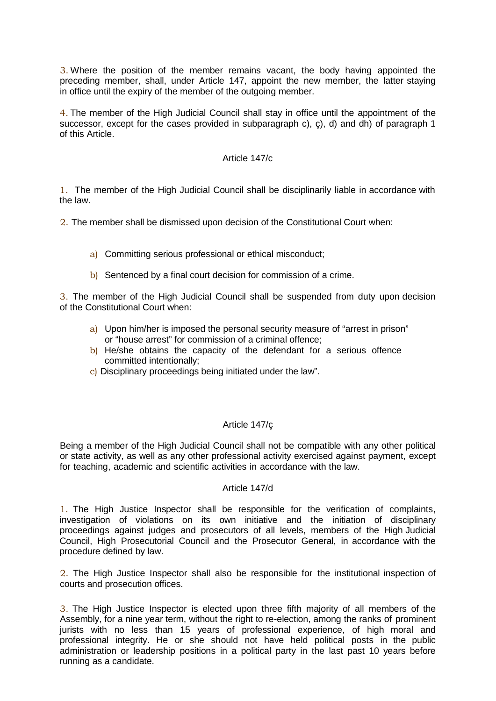3. Where the position of the member remains vacant, the body having appointed the preceding member, shall, under Article 147, appoint the new member, the latter staying in office until the expiry of the member of the outgoing member.

4. The member of the High Judicial Council shall stay in office until the appointment of the successor, except for the cases provided in subparagraph c), ç), d) and dh) of paragraph 1 of this Article.

#### Article 147/c

1. The member of the High Judicial Council shall be disciplinarily liable in accordance with the law.

2. The member shall be dismissed upon decision of the Constitutional Court when:

- a) Committing serious professional or ethical misconduct;
- b) Sentenced by a final court decision for commission of a crime.

3. The member of the High Judicial Council shall be suspended from duty upon decision of the Constitutional Court when:

- a) Upon him/her is imposed the personal security measure of "arrest in prison" or "house arrest" for commission of a criminal offence;
- b) He/she obtains the capacity of the defendant for a serious offence committed intentionally;
- c) Disciplinary proceedings being initiated under the law".

## Article 147/ç

Being a member of the High Judicial Council shall not be compatible with any other political or state activity, as well as any other professional activity exercised against payment, except for teaching, academic and scientific activities in accordance with the law.

#### Article 147/d

1. The High Justice Inspector shall be responsible for the verification of complaints, investigation of violations on its own initiative and the initiation of disciplinary proceedings against judges and prosecutors of all levels, members of the High Judicial Council, High Prosecutorial Council and the Prosecutor General, in accordance with the procedure defined by law.

2. The High Justice Inspector shall also be responsible for the institutional inspection of courts and prosecution offices.

3. The High Justice Inspector is elected upon three fifth majority of all members of the Assembly, for a nine year term, without the right to re-election, among the ranks of prominent jurists with no less than 15 years of professional experience, of high moral and professional integrity. He or she should not have held political posts in the public administration or leadership positions in a political party in the last past 10 years before running as a candidate.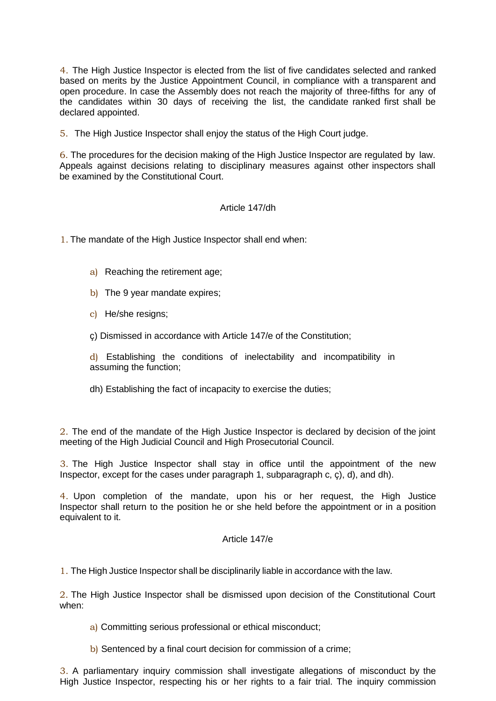4. The High Justice Inspector is elected from the list of five candidates selected and ranked based on merits by the Justice Appointment Council, in compliance with a transparent and open procedure. In case the Assembly does not reach the majority of three-fifths for any of the candidates within 30 days of receiving the list, the candidate ranked first shall be declared appointed.

5. The High Justice Inspector shall enjoy the status of the High Court judge.

6. The procedures for the decision making of the High Justice Inspector are regulated by law. Appeals against decisions relating to disciplinary measures against other inspectors shall be examined by the Constitutional Court.

## Article 147/dh

1. The mandate of the High Justice Inspector shall end when:

- a) Reaching the retirement age;
- b) The 9 year mandate expires;
- c) He/she resigns;
- ç) Dismissed in accordance with Article 147/e of the Constitution;

d) Establishing the conditions of inelectability and incompatibility in assuming the function;

dh) Establishing the fact of incapacity to exercise the duties;

2. The end of the mandate of the High Justice Inspector is declared by decision of the joint meeting of the High Judicial Council and High Prosecutorial Council.

3. The High Justice Inspector shall stay in office until the appointment of the new Inspector, except for the cases under paragraph 1, subparagraph c, ç), d), and dh).

4. Upon completion of the mandate, upon his or her request, the High Justice Inspector shall return to the position he or she held before the appointment or in a position equivalent to it.

## Article 147/e

1. The High Justice Inspector shall be disciplinarily liable in accordance with the law.

2. The High Justice Inspector shall be dismissed upon decision of the Constitutional Court when:

- a) Committing serious professional or ethical misconduct;
- b) Sentenced by a final court decision for commission of a crime;

3. A parliamentary inquiry commission shall investigate allegations of misconduct by the High Justice Inspector, respecting his or her rights to a fair trial. The inquiry commission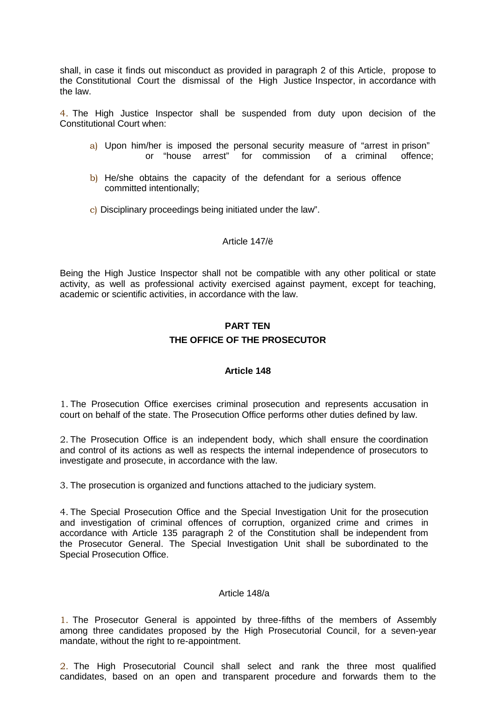shall, in case it finds out misconduct as provided in paragraph 2 of this Article, propose to the Constitutional Court the dismissal of the High Justice Inspector, in accordance with the law.

4. The High Justice Inspector shall be suspended from duty upon decision of the Constitutional Court when:

- a) Upon him/her is imposed the personal security measure of "arrest in prison" or "house arrest" for commission of a criminal offence;
- b) He/she obtains the capacity of the defendant for a serious offence committed intentionally;
- c) Disciplinary proceedings being initiated under the law".

#### Article 147/ë

Being the High Justice Inspector shall not be compatible with any other political or state activity, as well as professional activity exercised against payment, except for teaching, academic or scientific activities, in accordance with the law.

# **PART TEN THE OFFICE OF THE PROSECUTOR**

#### **Article 148**

1. The Prosecution Office exercises criminal prosecution and represents accusation in court on behalf of the state. The Prosecution Office performs other duties defined by law.

2. The Prosecution Office is an independent body, which shall ensure the coordination and control of its actions as well as respects the internal independence of prosecutors to investigate and prosecute, in accordance with the law.

3. The prosecution is organized and functions attached to the judiciary system.

4. The Special Prosecution Office and the Special Investigation Unit for the prosecution and investigation of criminal offences of corruption, organized crime and crimes in accordance with Article 135 paragraph 2 of the Constitution shall be independent from the Prosecutor General. The Special Investigation Unit shall be subordinated to the Special Prosecution Office.

#### Article 148/a

1. The Prosecutor General is appointed by three-fifths of the members of Assembly among three candidates proposed by the High Prosecutorial Council, for a seven-year mandate, without the right to re-appointment.

2. The High Prosecutorial Council shall select and rank the three most qualified candidates, based on an open and transparent procedure and forwards them to the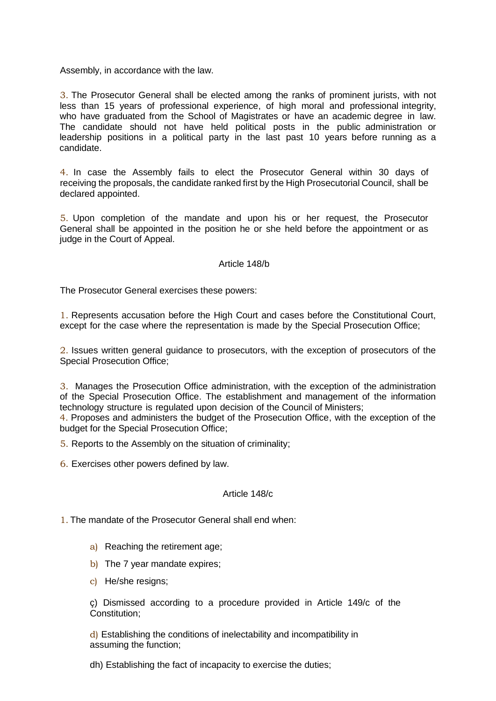Assembly, in accordance with the law.

3. The Prosecutor General shall be elected among the ranks of prominent jurists, with not less than 15 years of professional experience, of high moral and professional integrity, who have graduated from the School of Magistrates or have an academic degree in law. The candidate should not have held political posts in the public administration or leadership positions in a political party in the last past 10 years before running as a candidate.

4. In case the Assembly fails to elect the Prosecutor General within 30 days of receiving the proposals, the candidate ranked first by the High Prosecutorial Council, shall be declared appointed.

5. Upon completion of the mandate and upon his or her request, the Prosecutor General shall be appointed in the position he or she held before the appointment or as judge in the Court of Appeal.

#### Article 148/b

The Prosecutor General exercises these powers:

1. Represents accusation before the High Court and cases before the Constitutional Court, except for the case where the representation is made by the Special Prosecution Office;

2. Issues written general guidance to prosecutors, with the exception of prosecutors of the Special Prosecution Office;

3. Manages the Prosecution Office administration, with the exception of the administration of the Special Prosecution Office. The establishment and management of the information technology structure is regulated upon decision of the Council of Ministers;

4. Proposes and administers the budget of the Prosecution Office, with the exception of the budget for the Special Prosecution Office;

5. Reports to the Assembly on the situation of criminality;

6. Exercises other powers defined by law.

#### Article 148/c

1. The mandate of the Prosecutor General shall end when:

- a) Reaching the retirement age;
- b) The 7 year mandate expires;
- c) He/she resigns;

ç) Dismissed according to a procedure provided in Article 149/c of the Constitution;

d) Establishing the conditions of inelectability and incompatibility in assuming the function;

dh) Establishing the fact of incapacity to exercise the duties;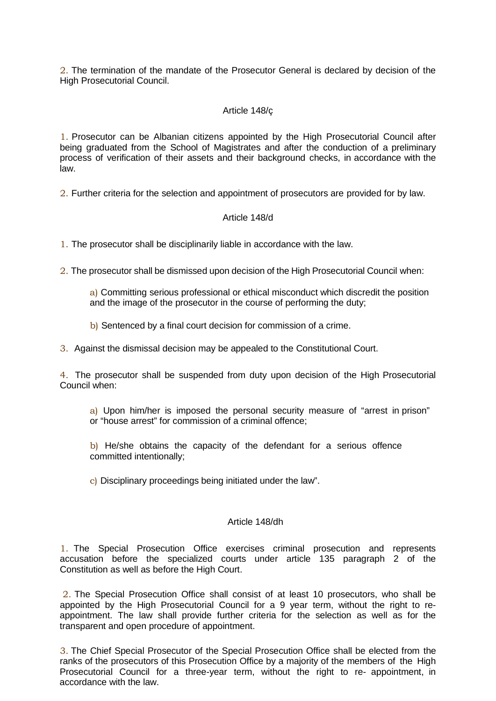2. The termination of the mandate of the Prosecutor General is declared by decision of the High Prosecutorial Council.

### Article 148/ç

1. Prosecutor can be Albanian citizens appointed by the High Prosecutorial Council after being graduated from the School of Magistrates and after the conduction of a preliminary process of verification of their assets and their background checks, in accordance with the law.

2. Further criteria for the selection and appointment of prosecutors are provided for by law.

#### Article 148/d

1. The prosecutor shall be disciplinarily liable in accordance with the law.

2. The prosecutor shall be dismissed upon decision of the High Prosecutorial Council when:

a) Committing serious professional or ethical misconduct which discredit the position and the image of the prosecutor in the course of performing the duty;

b) Sentenced by a final court decision for commission of a crime.

3. Against the dismissal decision may be appealed to the Constitutional Court.

4. The prosecutor shall be suspended from duty upon decision of the High Prosecutorial Council when:

a) Upon him/her is imposed the personal security measure of "arrest in prison" or "house arrest" for commission of a criminal offence;

b) He/she obtains the capacity of the defendant for a serious offence committed intentionally;

c) Disciplinary proceedings being initiated under the law".

#### Article 148/dh

1. The Special Prosecution Office exercises criminal prosecution and represents accusation before the specialized courts under article 135 paragraph 2 of the Constitution as well as before the High Court.

2. The Special Prosecution Office shall consist of at least 10 prosecutors, who shall be appointed by the High Prosecutorial Council for a 9 year term, without the right to reappointment. The law shall provide further criteria for the selection as well as for the transparent and open procedure of appointment.

3. The Chief Special Prosecutor of the Special Prosecution Office shall be elected from the ranks of the prosecutors of this Prosecution Office by a majority of the members of the High Prosecutorial Council for a three-year term, without the right to re- appointment, in accordance with the law.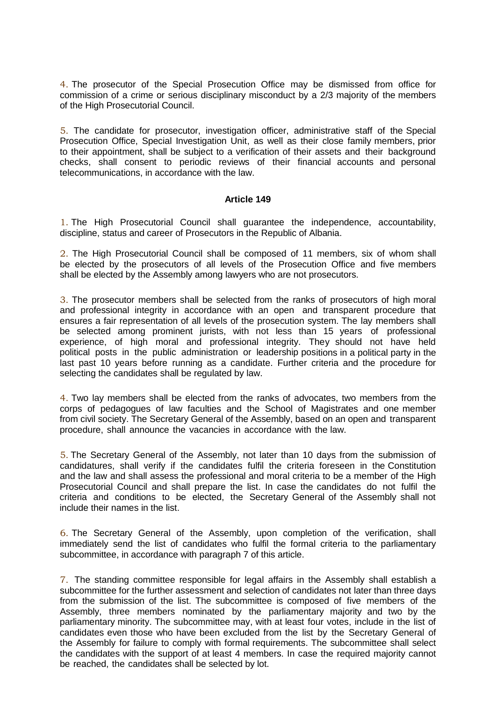4. The prosecutor of the Special Prosecution Office may be dismissed from office for commission of a crime or serious disciplinary misconduct by a 2/3 majority of the members of the High Prosecutorial Council.

5. The candidate for prosecutor, investigation officer, administrative staff of the Special Prosecution Office, Special Investigation Unit, as well as their close family members, prior to their appointment, shall be subject to a verification of their assets and their background checks, shall consent to periodic reviews of their financial accounts and personal telecommunications, in accordance with the law.

#### **Article 149**

1. The High Prosecutorial Council shall guarantee the independence, accountability, discipline, status and career of Prosecutors in the Republic of Albania.

2. The High Prosecutorial Council shall be composed of 11 members, six of whom shall be elected by the prosecutors of all levels of the Prosecution Office and five members shall be elected by the Assembly among lawyers who are not prosecutors.

3. The prosecutor members shall be selected from the ranks of prosecutors of high moral and professional integrity in accordance with an open and transparent procedure that ensures a fair representation of all levels of the prosecution system. The lay members shall be selected among prominent jurists, with not less than 15 years of professional experience, of high moral and professional integrity. They should not have held political posts in the public administration or leadership positions in a political party in the last past 10 years before running as a candidate. Further criteria and the procedure for selecting the candidates shall be regulated by law.

4. Two lay members shall be elected from the ranks of advocates, two members from the corps of pedagogues of law faculties and the School of Magistrates and one member from civil society. The Secretary General of the Assembly, based on an open and transparent procedure, shall announce the vacancies in accordance with the law.

5. The Secretary General of the Assembly, not later than 10 days from the submission of candidatures, shall verify if the candidates fulfil the criteria foreseen in the Constitution and the law and shall assess the professional and moral criteria to be a member of the High Prosecutorial Council and shall prepare the list. In case the candidates do not fulfil the criteria and conditions to be elected, the Secretary General of the Assembly shall not include their names in the list.

6. The Secretary General of the Assembly, upon completion of the verification, shall immediately send the list of candidates who fulfil the formal criteria to the parliamentary subcommittee, in accordance with paragraph 7 of this article.

7. The standing committee responsible for legal affairs in the Assembly shall establish a subcommittee for the further assessment and selection of candidates not later than three days from the submission of the list. The subcommittee is composed of five members of the Assembly, three members nominated by the parliamentary majority and two by the parliamentary minority. The subcommittee may, with at least four votes, include in the list of candidates even those who have been excluded from the list by the Secretary General of the Assembly for failure to comply with formal requirements. The subcommittee shall select the candidates with the support of at least 4 members. In case the required majority cannot be reached, the candidates shall be selected by lot.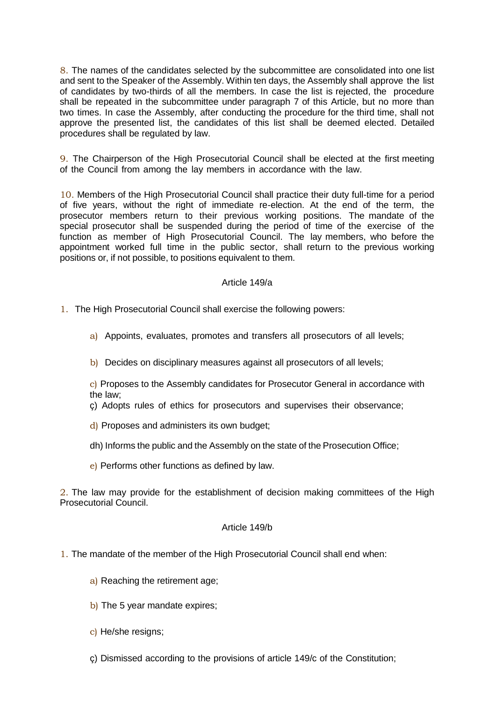8. The names of the candidates selected by the subcommittee are consolidated into one list and sent to the Speaker of the Assembly. Within ten days, the Assembly shall approve the list of candidates by two-thirds of all the members. In case the list is rejected, the procedure shall be repeated in the subcommittee under paragraph 7 of this Article, but no more than two times. In case the Assembly, after conducting the procedure for the third time, shall not approve the presented list, the candidates of this list shall be deemed elected. Detailed procedures shall be regulated by law.

9. The Chairperson of the High Prosecutorial Council shall be elected at the first meeting of the Council from among the lay members in accordance with the law.

10. Members of the High Prosecutorial Council shall practice their duty full-time for a period of five years, without the right of immediate re-election. At the end of the term, the prosecutor members return to their previous working positions. The mandate of the special prosecutor shall be suspended during the period of time of the exercise of the function as member of High Prosecutorial Council. The lay members, who before the appointment worked full time in the public sector, shall return to the previous working positions or, if not possible, to positions equivalent to them.

#### Article 149/a

- 1. The High Prosecutorial Council shall exercise the following powers:
	- a) Appoints, evaluates, promotes and transfers all prosecutors of all levels;
	- b) Decides on disciplinary measures against all prosecutors of all levels;

c) Proposes to the Assembly candidates for Prosecutor General in accordance with the law;

ç) Adopts rules of ethics for prosecutors and supervises their observance;

- d) Proposes and administers its own budget;
- dh) Informs the public and the Assembly on the state of the Prosecution Office;
- e) Performs other functions as defined by law.

2. The law may provide for the establishment of decision making committees of the High Prosecutorial Council.

### Article 149/b

- 1. The mandate of the member of the High Prosecutorial Council shall end when:
	- a) Reaching the retirement age;
	- b) The 5 year mandate expires;
	- c) He/she resigns;
	- ç) Dismissed according to the provisions of article 149/c of the Constitution;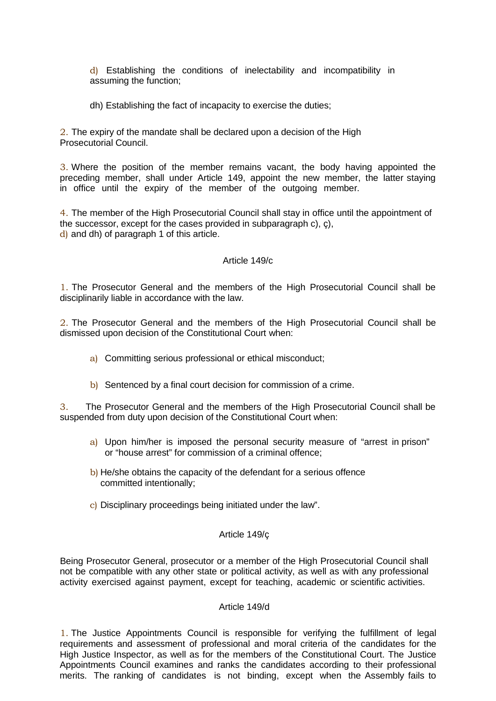d) Establishing the conditions of inelectability and incompatibility in assuming the function;

dh) Establishing the fact of incapacity to exercise the duties;

2. The expiry of the mandate shall be declared upon a decision of the High Prosecutorial Council.

3. Where the position of the member remains vacant, the body having appointed the preceding member, shall under Article 149, appoint the new member, the latter staying in office until the expiry of the member of the outgoing member.

4. The member of the High Prosecutorial Council shall stay in office until the appointment of the successor, except for the cases provided in subparagraph c), ç), d) and dh) of paragraph 1 of this article.

#### Article 149/c

1. The Prosecutor General and the members of the High Prosecutorial Council shall be disciplinarily liable in accordance with the law.

2. The Prosecutor General and the members of the High Prosecutorial Council shall be dismissed upon decision of the Constitutional Court when:

- a) Committing serious professional or ethical misconduct;
- b) Sentenced by a final court decision for commission of a crime.

3. The Prosecutor General and the members of the High Prosecutorial Council shall be suspended from duty upon decision of the Constitutional Court when:

- a) Upon him/her is imposed the personal security measure of "arrest in prison" or "house arrest" for commission of a criminal offence;
- b) He/she obtains the capacity of the defendant for a serious offence committed intentionally;
- c) Disciplinary proceedings being initiated under the law".

#### Article 149/ç

Being Prosecutor General, prosecutor or a member of the High Prosecutorial Council shall not be compatible with any other state or political activity, as well as with any professional activity exercised against payment, except for teaching, academic or scientific activities.

#### Article 149/d

1. The Justice Appointments Council is responsible for verifying the fulfillment of legal requirements and assessment of professional and moral criteria of the candidates for the High Justice Inspector, as well as for the members of the Constitutional Court. The Justice Appointments Council examines and ranks the candidates according to their professional merits. The ranking of candidates is not binding, except when the Assembly fails to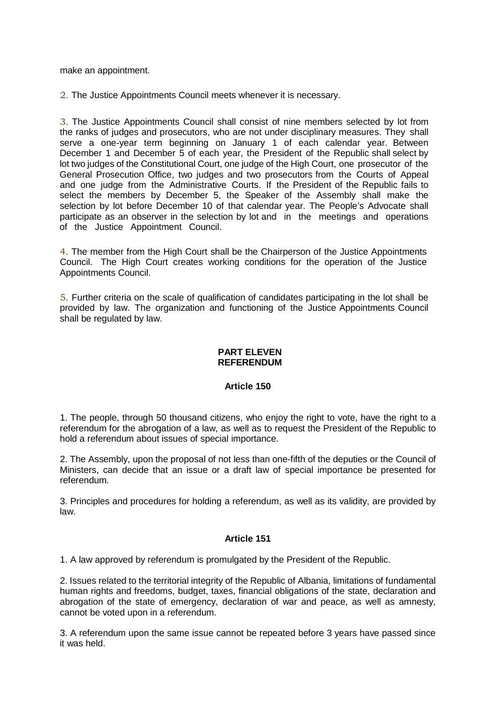make an appointment.

2. The Justice Appointments Council meets whenever it is necessary.

3. The Justice Appointments Council shall consist of nine members selected by lot from the ranks of judges and prosecutors, who are not under disciplinary measures. They shall serve a one-year term beginning on January 1 of each calendar year. Between December 1 and December 5 of each year, the President of the Republic shall select by lot two judges of the Constitutional Court, one judge of the High Court, one prosecutor of the General Prosecution Office, two judges and two prosecutors from the Courts of Appeal and one judge from the Administrative Courts. If the President of the Republic fails to select the members by December 5, the Speaker of the Assembly shall make the selection by lot before December 10 of that calendar year. The People's Advocate shall participate as an observer in the selection by lot and in the meetings and operations of the Justice Appointment Council.

4. The member from the High Court shall be the Chairperson of the Justice Appointments Council. The High Court creates working conditions for the operation of the Justice Appointments Council.

5. Further criteria on the scale of qualification of candidates participating in the lot shall be provided by law. The organization and functioning of the Justice Appointments Council shall be regulated by law.

#### **PART ELEVEN REFERENDUM**

## **Article 150**

1. The people, through 50 thousand citizens, who enjoy the right to vote, have the right to a referendum for the abrogation of a law, as well as to request the President of the Republic to hold a referendum about issues of special importance.

2. The Assembly, upon the proposal of not less than one-fifth of the deputies or the Council of Ministers, can decide that an issue or a draft law of special importance be presented for referendum.

3. Principles and procedures for holding a referendum, as well as its validity, are provided by law.

#### **Article 151**

1. A law approved by referendum is promulgated by the President of the Republic.

2. Issues related to the territorial integrity of the Republic of Albania, limitations of fundamental human rights and freedoms, budget, taxes, financial obligations of the state, declaration and abrogation of the state of emergency, declaration of war and peace, as well as amnesty, cannot be voted upon in a referendum.

3. A referendum upon the same issue cannot be repeated before 3 years have passed since it was held.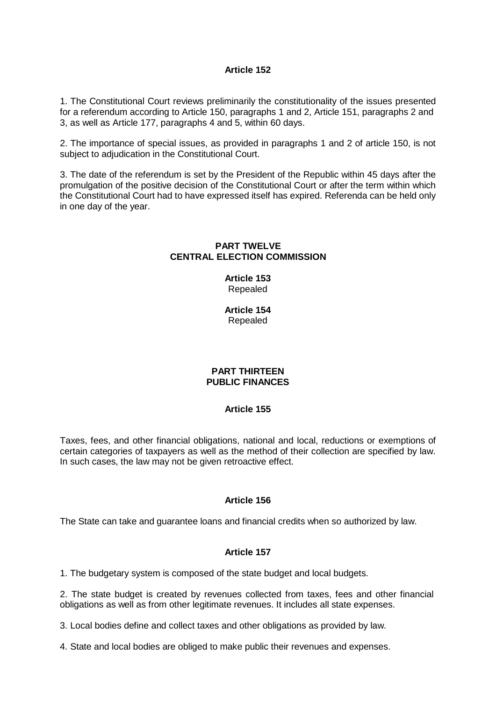1. The Constitutional Court reviews preliminarily the constitutionality of the issues presented for a referendum according to Article 150, paragraphs 1 and 2, Article 151, paragraphs 2 and 3, as well as Article 177, paragraphs 4 and 5, within 60 days.

2. The importance of special issues, as provided in paragraphs 1 and 2 of article 150, is not subject to adjudication in the Constitutional Court.

3. The date of the referendum is set by the President of the Republic within 45 days after the promulgation of the positive decision of the Constitutional Court or after the term within which the Constitutional Court had to have expressed itself has expired. Referenda can be held only in one day of the year.

### **PART TWELVE CENTRAL ELECTION COMMISSION**

**Article 153** Repealed

**Article 154** Repealed

### **PART THIRTEEN PUBLIC FINANCES**

## **Article 155**

Taxes, fees, and other financial obligations, national and local, reductions or exemptions of certain categories of taxpayers as well as the method of their collection are specified by law. In such cases, the law may not be given retroactive effect.

## **Article 156**

The State can take and guarantee loans and financial credits when so authorized by law.

## **Article 157**

1. The budgetary system is composed of the state budget and local budgets.

2. The state budget is created by revenues collected from taxes, fees and other financial obligations as well as from other legitimate revenues. It includes all state expenses.

3. Local bodies define and collect taxes and other obligations as provided by law.

4. State and local bodies are obliged to make public their revenues and expenses.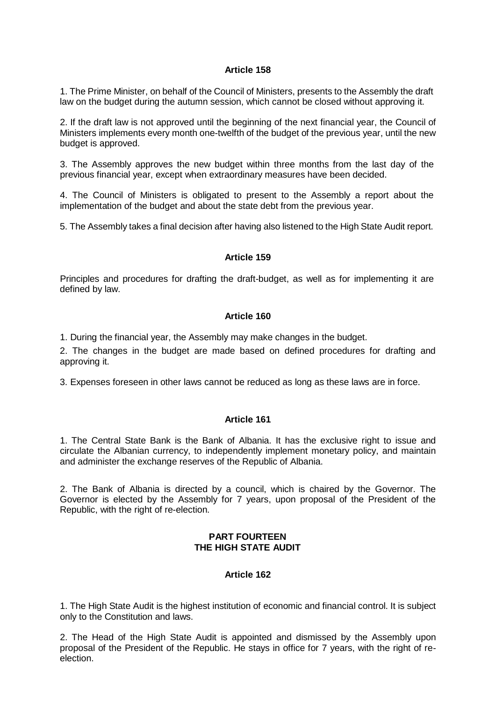1. The Prime Minister, on behalf of the Council of Ministers, presents to the Assembly the draft law on the budget during the autumn session, which cannot be closed without approving it.

2. If the draft law is not approved until the beginning of the next financial year, the Council of Ministers implements every month one-twelfth of the budget of the previous year, until the new budget is approved.

3. The Assembly approves the new budget within three months from the last day of the previous financial year, except when extraordinary measures have been decided.

4. The Council of Ministers is obligated to present to the Assembly a report about the implementation of the budget and about the state debt from the previous year.

5. The Assembly takes a final decision after having also listened to the High State Audit report.

#### **Article 159**

Principles and procedures for drafting the draft-budget, as well as for implementing it are defined by law.

## **Article 160**

1. During the financial year, the Assembly may make changes in the budget.

2. The changes in the budget are made based on defined procedures for drafting and approving it.

3. Expenses foreseen in other laws cannot be reduced as long as these laws are in force.

## **Article 161**

1. The Central State Bank is the Bank of Albania. It has the exclusive right to issue and circulate the Albanian currency, to independently implement monetary policy, and maintain and administer the exchange reserves of the Republic of Albania.

2. The Bank of Albania is directed by a council, which is chaired by the Governor. The Governor is elected by the Assembly for 7 years, upon proposal of the President of the Republic, with the right of re-election.

### **PART FOURTEEN THE HIGH STATE AUDIT**

## **Article 162**

1. The High State Audit is the highest institution of economic and financial control. It is subject only to the Constitution and laws.

2. The Head of the High State Audit is appointed and dismissed by the Assembly upon proposal of the President of the Republic. He stays in office for 7 years, with the right of reelection.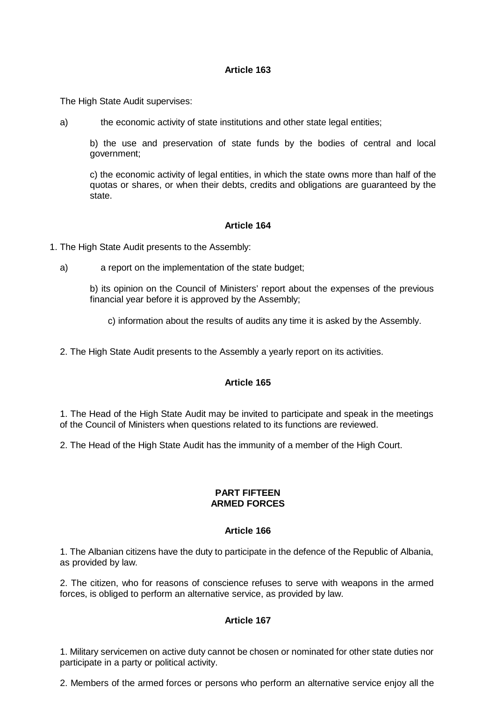The High State Audit supervises:

a) the economic activity of state institutions and other state legal entities;

b) the use and preservation of state funds by the bodies of central and local government;

c) the economic activity of legal entities, in which the state owns more than half of the quotas or shares, or when their debts, credits and obligations are guaranteed by the state.

#### **Article 164**

- 1. The High State Audit presents to the Assembly:
	- a) a report on the implementation of the state budget;
		- b) its opinion on the Council of Ministers' report about the expenses of the previous financial year before it is approved by the Assembly;

c) information about the results of audits any time it is asked by the Assembly.

2. The High State Audit presents to the Assembly a yearly report on its activities.

# **Article 165**

1. The Head of the High State Audit may be invited to participate and speak in the meetings of the Council of Ministers when questions related to its functions are reviewed.

2. The Head of the High State Audit has the immunity of a member of the High Court.

#### **PART FIFTEEN ARMED FORCES**

#### **Article 166**

1. The Albanian citizens have the duty to participate in the defence of the Republic of Albania, as provided by law.

2. The citizen, who for reasons of conscience refuses to serve with weapons in the armed forces, is obliged to perform an alternative service, as provided by law.

#### **Article 167**

1. Military servicemen on active duty cannot be chosen or nominated for other state duties nor participate in a party or political activity.

2. Members of the armed forces or persons who perform an alternative service enjoy all the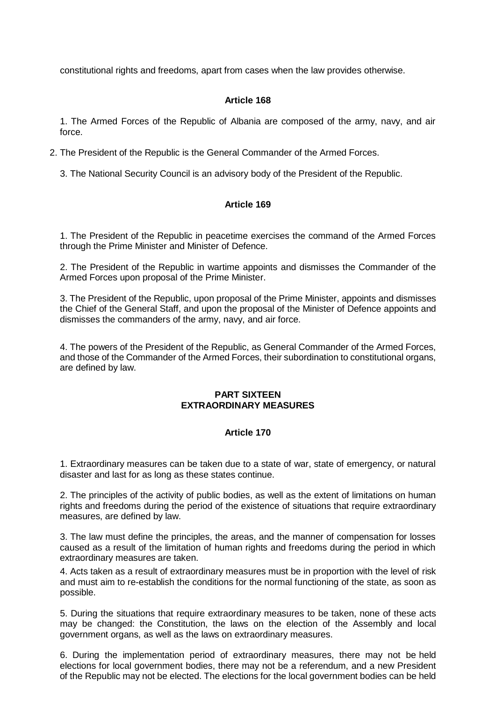constitutional rights and freedoms, apart from cases when the law provides otherwise.

#### **Article 168**

1. The Armed Forces of the Republic of Albania are composed of the army, navy, and air force.

2. The President of the Republic is the General Commander of the Armed Forces.

3. The National Security Council is an advisory body of the President of the Republic.

### **Article 169**

1. The President of the Republic in peacetime exercises the command of the Armed Forces through the Prime Minister and Minister of Defence.

2. The President of the Republic in wartime appoints and dismisses the Commander of the Armed Forces upon proposal of the Prime Minister.

3. The President of the Republic, upon proposal of the Prime Minister, appoints and dismisses the Chief of the General Staff, and upon the proposal of the Minister of Defence appoints and dismisses the commanders of the army, navy, and air force.

4. The powers of the President of the Republic, as General Commander of the Armed Forces, and those of the Commander of the Armed Forces, their subordination to constitutional organs, are defined by law.

#### **PART SIXTEEN EXTRAORDINARY MEASURES**

## **Article 170**

1. Extraordinary measures can be taken due to a state of war, state of emergency, or natural disaster and last for as long as these states continue.

2. The principles of the activity of public bodies, as well as the extent of limitations on human rights and freedoms during the period of the existence of situations that require extraordinary measures, are defined by law.

3. The law must define the principles, the areas, and the manner of compensation for losses caused as a result of the limitation of human rights and freedoms during the period in which extraordinary measures are taken.

4. Acts taken as a result of extraordinary measures must be in proportion with the level of risk and must aim to re-establish the conditions for the normal functioning of the state, as soon as possible.

5. During the situations that require extraordinary measures to be taken, none of these acts may be changed: the Constitution, the laws on the election of the Assembly and local government organs, as well as the laws on extraordinary measures.

6. During the implementation period of extraordinary measures, there may not be held elections for local government bodies, there may not be a referendum, and a new President of the Republic may not be elected. The elections for the local government bodies can be held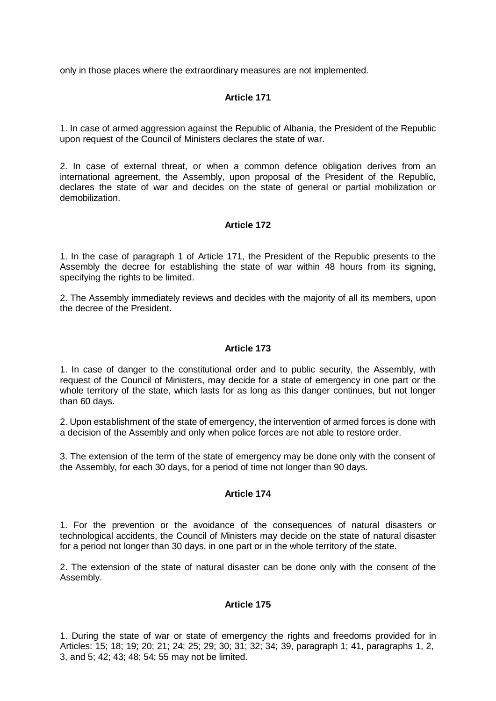only in those places where the extraordinary measures are not implemented.

# **Article 171**

1. In case of armed aggression against the Republic of Albania, the President of the Republic upon request of the Council of Ministers declares the state of war.

2. In case of external threat, or when a common defence obligation derives from an international agreement, the Assembly, upon proposal of the President of the Republic, declares the state of war and decides on the state of general or partial mobilization or demobilization.

#### **Article 172**

1. In the case of paragraph 1 of Article 171, the President of the Republic presents to the Assembly the decree for establishing the state of war within 48 hours from its signing, specifying the rights to be limited.

2. The Assembly immediately reviews and decides with the majority of all its members, upon the decree of the President.

### **Article 173**

1. In case of danger to the constitutional order and to public security, the Assembly, with request of the Council of Ministers, may decide for a state of emergency in one part or the whole territory of the state, which lasts for as long as this danger continues, but not longer than 60 days.

2. Upon establishment of the state of emergency, the intervention of armed forces is done with a decision of the Assembly and only when police forces are not able to restore order.

3. The extension of the term of the state of emergency may be done only with the consent of the Assembly, for each 30 days, for a period of time not longer than 90 days.

#### **Article 174**

1. For the prevention or the avoidance of the consequences of natural disasters or technological accidents, the Council of Ministers may decide on the state of natural disaster for a period not longer than 30 days, in one part or in the whole territory of the state.

2. The extension of the state of natural disaster can be done only with the consent of the Assembly.

#### **Article 175**

1. During the state of war or state of emergency the rights and freedoms provided for in Articles: 15; 18; 19; 20; 21; 24; 25; 29; 30; 31; 32; 34; 39, paragraph 1; 41, paragraphs 1, 2, 3, and 5; 42; 43; 48; 54; 55 may not be limited.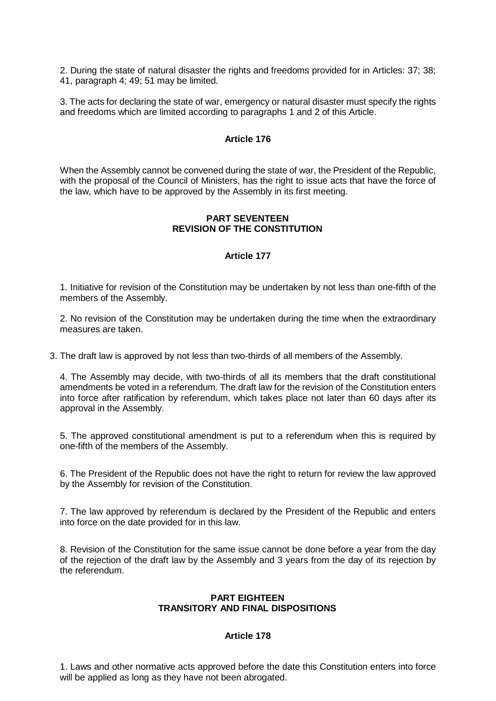2. During the state of natural disaster the rights and freedoms provided for in Articles: 37; 38; 41, paragraph 4; 49; 51 may be limited.

3. The acts for declaring the state of war, emergency or natural disaster must specify the rights and freedoms which are limited according to paragraphs 1 and 2 of this Article.

#### **Article 176**

When the Assembly cannot be convened during the state of war, the President of the Republic, with the proposal of the Council of Ministers, has the right to issue acts that have the force of the law, which have to be approved by the Assembly in its first meeting.

#### **PART SEVENTEEN REVISION OF THE CONSTITUTION**

#### **Article 177**

1. Initiative for revision of the Constitution may be undertaken by not less than one-fifth of the members of the Assembly.

2. No revision of the Constitution may be undertaken during the time when the extraordinary measures are taken.

3. The draft law is approved by not less than two-thirds of all members of the Assembly.

4. The Assembly may decide, with two-thirds of all its members that the draft constitutional amendments be voted in a referendum. The draft law for the revision of the Constitution enters into force after ratification by referendum, which takes place not later than 60 days after its approval in the Assembly.

5. The approved constitutional amendment is put to a referendum when this is required by one-fifth of the members of the Assembly.

6. The President of the Republic does not have the right to return for review the law approved by the Assembly for revision of the Constitution.

7. The law approved by referendum is declared by the President of the Republic and enters into force on the date provided for in this law.

8. Revision of the Constitution for the same issue cannot be done before a year from the day of the rejection of the draft law by the Assembly and 3 years from the day of its rejection by the referendum.

### **PART EIGHTEEN TRANSITORY AND FINAL DISPOSITIONS**

## **Article 178**

1. Laws and other normative acts approved before the date this Constitution enters into force will be applied as long as they have not been abrogated.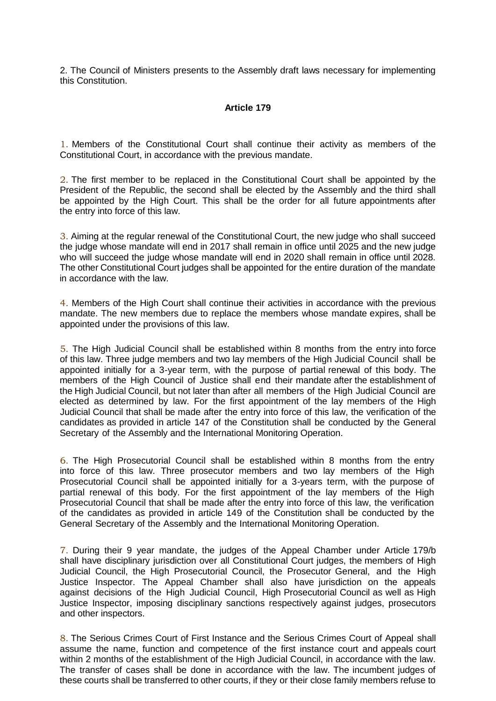2. The Council of Ministers presents to the Assembly draft laws necessary for implementing this Constitution.

#### **Article 179**

1. Members of the Constitutional Court shall continue their activity as members of the Constitutional Court, in accordance with the previous mandate.

2. The first member to be replaced in the Constitutional Court shall be appointed by the President of the Republic, the second shall be elected by the Assembly and the third shall be appointed by the High Court. This shall be the order for all future appointments after the entry into force of this law.

3. Aiming at the regular renewal of the Constitutional Court, the new judge who shall succeed the judge whose mandate will end in 2017 shall remain in office until 2025 and the new judge who will succeed the judge whose mandate will end in 2020 shall remain in office until 2028. The other Constitutional Court judges shall be appointed for the entire duration of the mandate in accordance with the law.

4. Members of the High Court shall continue their activities in accordance with the previous mandate. The new members due to replace the members whose mandate expires, shall be appointed under the provisions of this law.

5. The High Judicial Council shall be established within 8 months from the entry into force of this law. Three judge members and two lay members of the High Judicial Council shall be appointed initially for a 3-year term, with the purpose of partial renewal of this body. The members of the High Council of Justice shall end their mandate after the establishment of the High Judicial Council, but not later than after all members of the High Judicial Council are elected as determined by law. For the first appointment of the lay members of the High Judicial Council that shall be made after the entry into force of this law, the verification of the candidates as provided in article 147 of the Constitution shall be conducted by the General Secretary of the Assembly and the International Monitoring Operation.

6. The High Prosecutorial Council shall be established within 8 months from the entry into force of this law. Three prosecutor members and two lay members of the High Prosecutorial Council shall be appointed initially for a 3-years term, with the purpose of partial renewal of this body. For the first appointment of the lay members of the High Prosecutorial Council that shall be made after the entry into force of this law, the verification of the candidates as provided in article 149 of the Constitution shall be conducted by the General Secretary of the Assembly and the International Monitoring Operation.

7. During their 9 year mandate, the judges of the Appeal Chamber under Article 179/b shall have disciplinary jurisdiction over all Constitutional Court judges, the members of High Judicial Council, the High Prosecutorial Council, the Prosecutor General, and the High Justice Inspector. The Appeal Chamber shall also have jurisdiction on the appeals against decisions of the High Judicial Council, High Prosecutorial Council as well as High Justice Inspector, imposing disciplinary sanctions respectively against judges, prosecutors and other inspectors.

8. The Serious Crimes Court of First Instance and the Serious Crimes Court of Appeal shall assume the name, function and competence of the first instance court and appeals court within 2 months of the establishment of the High Judicial Council, in accordance with the law. The transfer of cases shall be done in accordance with the law. The incumbent judges of these courts shall be transferred to other courts, if they or their close family members refuse to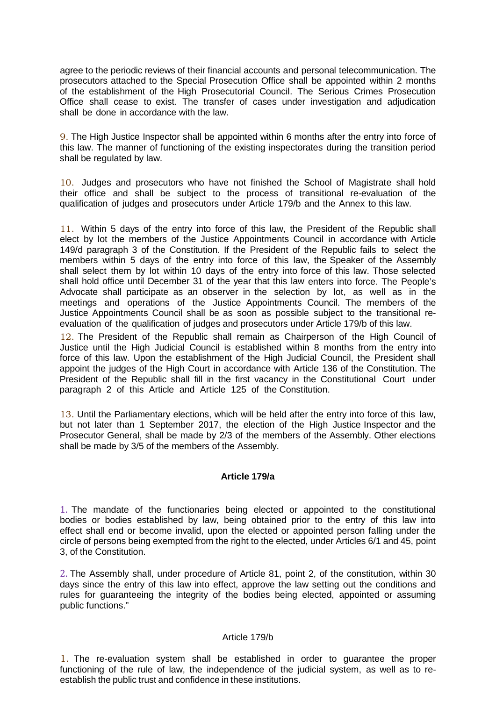agree to the periodic reviews of their financial accounts and personal telecommunication. The prosecutors attached to the Special Prosecution Office shall be appointed within 2 months of the establishment of the High Prosecutorial Council. The Serious Crimes Prosecution Office shall cease to exist. The transfer of cases under investigation and adjudication shall be done in accordance with the law.

9. The High Justice Inspector shall be appointed within 6 months after the entry into force of this law. The manner of functioning of the existing inspectorates during the transition period shall be regulated by law.

10. Judges and prosecutors who have not finished the School of Magistrate shall hold their office and shall be subject to the process of transitional re-evaluation of the qualification of judges and prosecutors under Article 179/b and the Annex to this law.

11. Within 5 days of the entry into force of this law, the President of the Republic shall elect by lot the members of the Justice Appointments Council in accordance with Article 149/d paragraph 3 of the Constitution. If the President of the Republic fails to select the members within 5 days of the entry into force of this law, the Speaker of the Assembly shall select them by lot within 10 days of the entry into force of this law. Those selected shall hold office until December 31 of the year that this law enters into force. The People's Advocate shall participate as an observer in the selection by lot, as well as in the meetings and operations of the Justice Appointments Council. The members of the Justice Appointments Council shall be as soon as possible subject to the transitional reevaluation of the qualification of judges and prosecutors under Article 179/b of this law.

12. The President of the Republic shall remain as Chairperson of the High Council of Justice until the High Judicial Council is established within 8 months from the entry into force of this law. Upon the establishment of the High Judicial Council, the President shall appoint the judges of the High Court in accordance with Article 136 of the Constitution. The President of the Republic shall fill in the first vacancy in the Constitutional Court under paragraph 2 of this Article and Article 125 of the Constitution.

13. Until the Parliamentary elections, which will be held after the entry into force of this law, but not later than 1 September 2017, the election of the High Justice Inspector and the Prosecutor General, shall be made by 2/3 of the members of the Assembly. Other elections shall be made by 3/5 of the members of the Assembly.

## **Article 179/a**

1. The mandate of the functionaries being elected or appointed to the constitutional bodies or bodies established by law, being obtained prior to the entry of this law into effect shall end or become invalid, upon the elected or appointed person falling under the circle of persons being exempted from the right to the elected, under Articles 6/1 and 45, point 3, of the Constitution.

2. The Assembly shall, under procedure of Article 81, point 2, of the constitution, within 30 days since the entry of this law into effect, approve the law setting out the conditions and rules for guaranteeing the integrity of the bodies being elected, appointed or assuming public functions."

#### Article 179/b

1. The re-evaluation system shall be established in order to guarantee the proper functioning of the rule of law, the independence of the judicial system, as well as to reestablish the public trust and confidence in these institutions.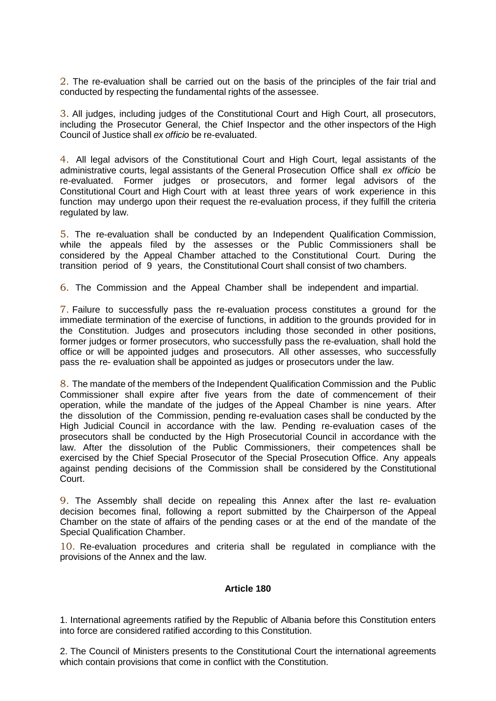2. The re-evaluation shall be carried out on the basis of the principles of the fair trial and conducted by respecting the fundamental rights of the assessee.

3. All judges, including judges of the Constitutional Court and High Court, all prosecutors, including the Prosecutor General, the Chief Inspector and the other inspectors of the High Council of Justice shall *ex officio* be re-evaluated.

4. All legal advisors of the Constitutional Court and High Court, legal assistants of the administrative courts, legal assistants of the General Prosecution Office shall *ex officio* be re-evaluated. Former judges or prosecutors, and former legal advisors of the Constitutional Court and High Court with at least three years of work experience in this function may undergo upon their request the re-evaluation process, if they fulfill the criteria regulated by law.

5. The re-evaluation shall be conducted by an Independent Qualification Commission, while the appeals filed by the assesses or the Public Commissioners shall be considered by the Appeal Chamber attached to the Constitutional Court. During the transition period of 9 years, the Constitutional Court shall consist of two chambers.

6. The Commission and the Appeal Chamber shall be independent and impartial.

7. Failure to successfully pass the re-evaluation process constitutes a ground for the immediate termination of the exercise of functions, in addition to the grounds provided for in the Constitution. Judges and prosecutors including those seconded in other positions, former judges or former prosecutors, who successfully pass the re-evaluation, shall hold the office or will be appointed judges and prosecutors. All other assesses, who successfully pass the re- evaluation shall be appointed as judges or prosecutors under the law.

8. The mandate of the members of the Independent Qualification Commission and the Public Commissioner shall expire after five years from the date of commencement of their operation, while the mandate of the judges of the Appeal Chamber is nine years. After the dissolution of the Commission, pending re-evaluation cases shall be conducted by the High Judicial Council in accordance with the law. Pending re-evaluation cases of the prosecutors shall be conducted by the High Prosecutorial Council in accordance with the law. After the dissolution of the Public Commissioners, their competences shall be exercised by the Chief Special Prosecutor of the Special Prosecution Office. Any appeals against pending decisions of the Commission shall be considered by the Constitutional Court.

9. The Assembly shall decide on repealing this Annex after the last re- evaluation decision becomes final, following a report submitted by the Chairperson of the Appeal Chamber on the state of affairs of the pending cases or at the end of the mandate of the Special Qualification Chamber.

10. Re-evaluation procedures and criteria shall be regulated in compliance with the provisions of the Annex and the law.

#### **Article 180**

1. International agreements ratified by the Republic of Albania before this Constitution enters into force are considered ratified according to this Constitution.

2. The Council of Ministers presents to the Constitutional Court the international agreements which contain provisions that come in conflict with the Constitution.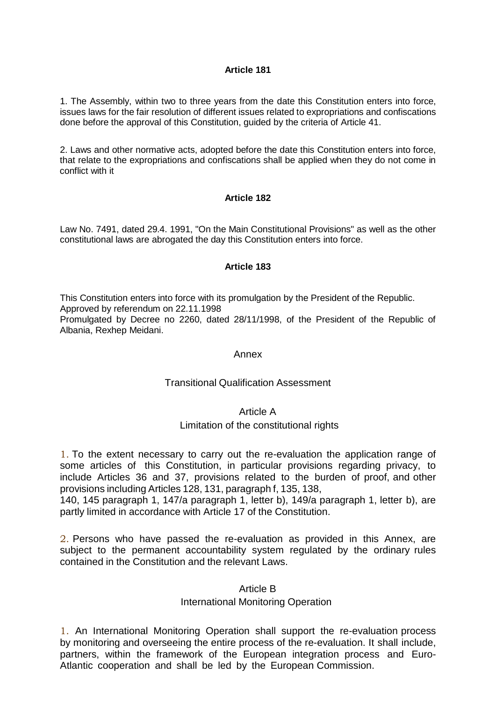1. The Assembly, within two to three years from the date this Constitution enters into force, issues laws for the fair resolution of different issues related to expropriations and confiscations done before the approval of this Constitution, guided by the criteria of Article 41.

2. Laws and other normative acts, adopted before the date this Constitution enters into force, that relate to the expropriations and confiscations shall be applied when they do not come in conflict with it

## **Article 182**

Law No. 7491, dated 29.4. 1991, "On the Main Constitutional Provisions" as well as the other constitutional laws are abrogated the day this Constitution enters into force.

#### **Article 183**

This Constitution enters into force with its promulgation by the President of the Republic.

Approved by referendum on 22.11.1998

Promulgated by Decree no 2260, dated 28/11/1998, of the President of the Republic of Albania, Rexhep Meidani.

#### Annex

## Transitional Qualification Assessment

## Article A

## Limitation of the constitutional rights

1. To the extent necessary to carry out the re-evaluation the application range of some articles of this Constitution, in particular provisions regarding privacy, to include Articles 36 and 37, provisions related to the burden of proof, and other provisions including Articles 128, 131, paragraph f, 135, 138,

140, 145 paragraph 1, 147/a paragraph 1, letter b), 149/a paragraph 1, letter b), are partly limited in accordance with Article 17 of the Constitution.

2. Persons who have passed the re-evaluation as provided in this Annex, are subject to the permanent accountability system regulated by the ordinary rules contained in the Constitution and the relevant Laws.

## Article B

## International Monitoring Operation

1. An International Monitoring Operation shall support the re-evaluation process by monitoring and overseeing the entire process of the re-evaluation. It shall include, partners, within the framework of the European integration process and Euro-Atlantic cooperation and shall be led by the European Commission.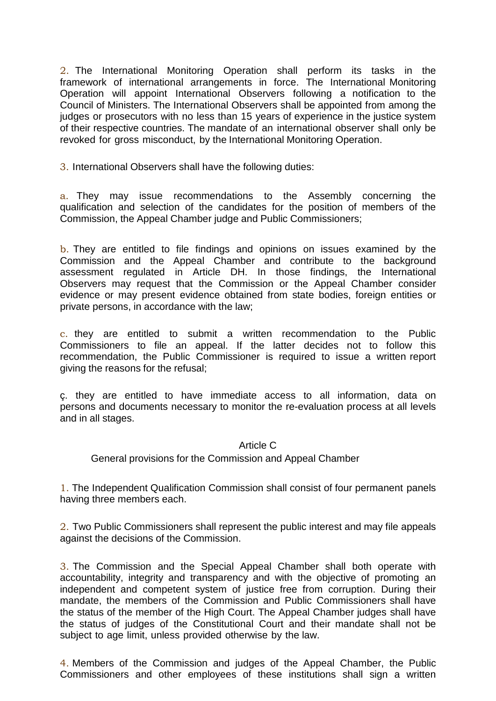2. The International Monitoring Operation shall perform its tasks in the framework of international arrangements in force. The International Monitoring Operation will appoint International Observers following a notification to the Council of Ministers. The International Observers shall be appointed from among the judges or prosecutors with no less than 15 years of experience in the justice system of their respective countries. The mandate of an international observer shall only be revoked for gross misconduct, by the International Monitoring Operation.

3. International Observers shall have the following duties:

a. They may issue recommendations to the Assembly concerning the qualification and selection of the candidates for the position of members of the Commission, the Appeal Chamber judge and Public Commissioners;

b. They are entitled to file findings and opinions on issues examined by the Commission and the Appeal Chamber and contribute to the background assessment regulated in Article DH. In those findings, the International Observers may request that the Commission or the Appeal Chamber consider evidence or may present evidence obtained from state bodies, foreign entities or private persons, in accordance with the law;

c. they are entitled to submit a written recommendation to the Public Commissioners to file an appeal. If the latter decides not to follow this recommendation, the Public Commissioner is required to issue a written report giving the reasons for the refusal;

ç. they are entitled to have immediate access to all information, data on persons and documents necessary to monitor the re-evaluation process at all levels and in all stages.

# Article C

General provisions for the Commission and Appeal Chamber

1. The Independent Qualification Commission shall consist of four permanent panels having three members each.

2. Two Public Commissioners shall represent the public interest and may file appeals against the decisions of the Commission.

3. The Commission and the Special Appeal Chamber shall both operate with accountability, integrity and transparency and with the objective of promoting an independent and competent system of justice free from corruption. During their mandate, the members of the Commission and Public Commissioners shall have the status of the member of the High Court. The Appeal Chamber judges shall have the status of judges of the Constitutional Court and their mandate shall not be subject to age limit, unless provided otherwise by the law.

4. Members of the Commission and judges of the Appeal Chamber, the Public Commissioners and other employees of these institutions shall sign a written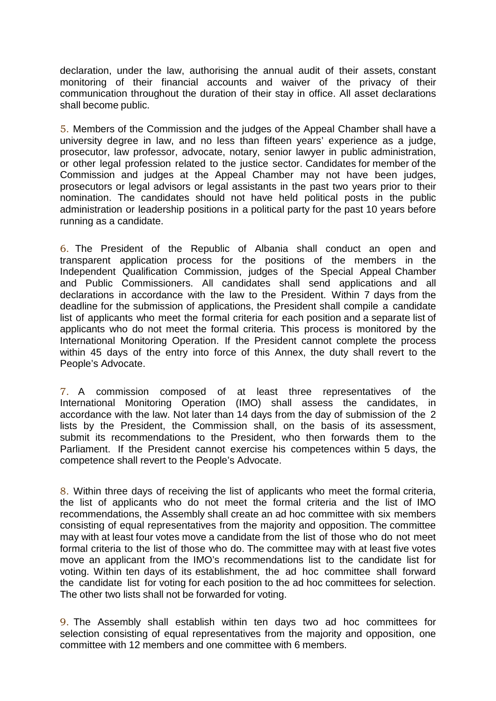declaration, under the law, authorising the annual audit of their assets, constant monitoring of their financial accounts and waiver of the privacy of their communication throughout the duration of their stay in office. All asset declarations shall become public.

5. Members of the Commission and the judges of the Appeal Chamber shall have a university degree in law, and no less than fifteen years' experience as a judge, prosecutor, law professor, advocate, notary, senior lawyer in public administration, or other legal profession related to the justice sector. Candidates for member of the Commission and judges at the Appeal Chamber may not have been judges, prosecutors or legal advisors or legal assistants in the past two years prior to their nomination. The candidates should not have held political posts in the public administration or leadership positions in a political party for the past 10 years before running as a candidate.

6. The President of the Republic of Albania shall conduct an open and transparent application process for the positions of the members in the Independent Qualification Commission, judges of the Special Appeal Chamber and Public Commissioners. All candidates shall send applications and all declarations in accordance with the law to the President. Within 7 days from the deadline for the submission of applications, the President shall compile a candidate list of applicants who meet the formal criteria for each position and a separate list of applicants who do not meet the formal criteria. This process is monitored by the International Monitoring Operation. If the President cannot complete the process within 45 days of the entry into force of this Annex, the duty shall revert to the People's Advocate.

7. A commission composed of at least three representatives of the International Monitoring Operation (IMO) shall assess the candidates, in accordance with the law. Not later than 14 days from the day of submission of the 2 lists by the President, the Commission shall, on the basis of its assessment, submit its recommendations to the President, who then forwards them to the Parliament. If the President cannot exercise his competences within 5 days, the competence shall revert to the People's Advocate.

8. Within three days of receiving the list of applicants who meet the formal criteria, the list of applicants who do not meet the formal criteria and the list of IMO recommendations, the Assembly shall create an ad hoc committee with six members consisting of equal representatives from the majority and opposition. The committee may with at least four votes move a candidate from the list of those who do not meet formal criteria to the list of those who do. The committee may with at least five votes move an applicant from the IMO's recommendations list to the candidate list for voting. Within ten days of its establishment, the ad hoc committee shall forward the candidate list for voting for each position to the ad hoc committees for selection. The other two lists shall not be forwarded for voting.

9. The Assembly shall establish within ten days two ad hoc committees for selection consisting of equal representatives from the majority and opposition, one committee with 12 members and one committee with 6 members.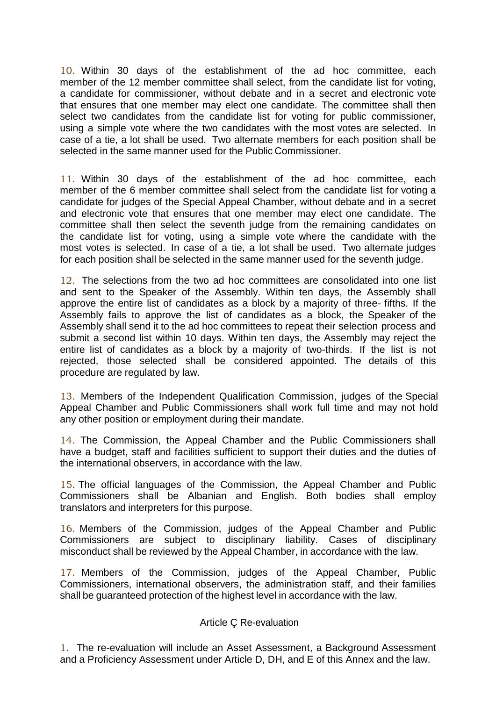10. Within 30 days of the establishment of the ad hoc committee, each member of the 12 member committee shall select, from the candidate list for voting, a candidate for commissioner, without debate and in a secret and electronic vote that ensures that one member may elect one candidate. The committee shall then select two candidates from the candidate list for voting for public commissioner, using a simple vote where the two candidates with the most votes are selected. In case of a tie, a lot shall be used. Two alternate members for each position shall be selected in the same manner used for the Public Commissioner.

11. Within 30 days of the establishment of the ad hoc committee, each member of the 6 member committee shall select from the candidate list for voting a candidate for judges of the Special Appeal Chamber, without debate and in a secret and electronic vote that ensures that one member may elect one candidate. The committee shall then select the seventh judge from the remaining candidates on the candidate list for voting, using a simple vote where the candidate with the most votes is selected. In case of a tie, a lot shall be used. Two alternate judges for each position shall be selected in the same manner used for the seventh judge.

12. The selections from the two ad hoc committees are consolidated into one list and sent to the Speaker of the Assembly. Within ten days, the Assembly shall approve the entire list of candidates as a block by a majority of three- fifths. If the Assembly fails to approve the list of candidates as a block, the Speaker of the Assembly shall send it to the ad hoc committees to repeat their selection process and submit a second list within 10 days. Within ten days, the Assembly may reject the entire list of candidates as a block by a majority of two-thirds. If the list is not rejected, those selected shall be considered appointed. The details of this procedure are regulated by law.

13. Members of the Independent Qualification Commission, judges of the Special Appeal Chamber and Public Commissioners shall work full time and may not hold any other position or employment during their mandate.

14. The Commission, the Appeal Chamber and the Public Commissioners shall have a budget, staff and facilities sufficient to support their duties and the duties of the international observers, in accordance with the law.

15. The official languages of the Commission, the Appeal Chamber and Public Commissioners shall be Albanian and English. Both bodies shall employ translators and interpreters for this purpose.

16. Members of the Commission, judges of the Appeal Chamber and Public Commissioners are subject to disciplinary liability. Cases of disciplinary misconduct shall be reviewed by the Appeal Chamber, in accordance with the law.

17. Members of the Commission, judges of the Appeal Chamber, Public Commissioners, international observers, the administration staff, and their families shall be guaranteed protection of the highest level in accordance with the law.

# Article Ç Re-evaluation

1. The re-evaluation will include an Asset Assessment, a Background Assessment and a Proficiency Assessment under Article D, DH, and E of this Annex and the law.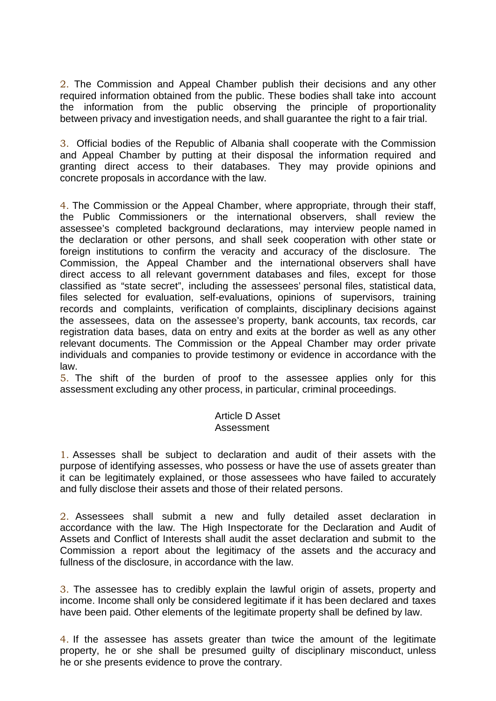2. The Commission and Appeal Chamber publish their decisions and any other required information obtained from the public. These bodies shall take into account the information from the public observing the principle of proportionality between privacy and investigation needs, and shall guarantee the right to a fair trial.

3. Official bodies of the Republic of Albania shall cooperate with the Commission and Appeal Chamber by putting at their disposal the information required and granting direct access to their databases. They may provide opinions and concrete proposals in accordance with the law.

4. The Commission or the Appeal Chamber, where appropriate, through their staff, the Public Commissioners or the international observers, shall review the assessee's completed background declarations, may interview people named in the declaration or other persons, and shall seek cooperation with other state or foreign institutions to confirm the veracity and accuracy of the disclosure. The Commission, the Appeal Chamber and the international observers shall have direct access to all relevant government databases and files, except for those classified as "state secret", including the assessees' personal files, statistical data, files selected for evaluation, self-evaluations, opinions of supervisors, training records and complaints, verification of complaints, disciplinary decisions against the assessees, data on the assessee's property, bank accounts, tax records, car registration data bases, data on entry and exits at the border as well as any other relevant documents. The Commission or the Appeal Chamber may order private individuals and companies to provide testimony or evidence in accordance with the law.

5. The shift of the burden of proof to the assessee applies only for this assessment excluding any other process, in particular, criminal proceedings.

# Article D Asset Assessment

1. Assesses shall be subject to declaration and audit of their assets with the purpose of identifying assesses, who possess or have the use of assets greater than it can be legitimately explained, or those assessees who have failed to accurately and fully disclose their assets and those of their related persons.

2. Assessees shall submit a new and fully detailed asset declaration in accordance with the law. The High Inspectorate for the Declaration and Audit of Assets and Conflict of Interests shall audit the asset declaration and submit to the Commission a report about the legitimacy of the assets and the accuracy and fullness of the disclosure, in accordance with the law.

3. The assessee has to credibly explain the lawful origin of assets, property and income. Income shall only be considered legitimate if it has been declared and taxes have been paid. Other elements of the legitimate property shall be defined by law.

4. If the assessee has assets greater than twice the amount of the legitimate property, he or she shall be presumed guilty of disciplinary misconduct, unless he or she presents evidence to prove the contrary.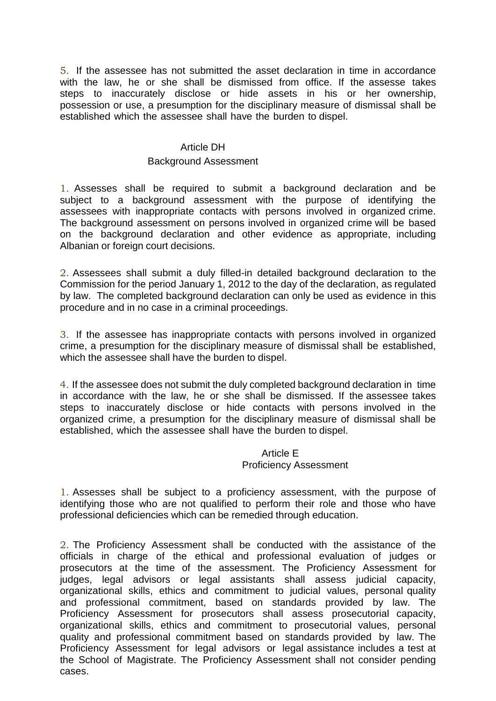5. If the assessee has not submitted the asset declaration in time in accordance with the law, he or she shall be dismissed from office. If the assesse takes steps to inaccurately disclose or hide assets in his or her ownership, possession or use, a presumption for the disciplinary measure of dismissal shall be established which the assessee shall have the burden to dispel.

# Article DH

# Background Assessment

1. Assesses shall be required to submit a background declaration and be subject to a background assessment with the purpose of identifying the assessees with inappropriate contacts with persons involved in organized crime. The background assessment on persons involved in organized crime will be based on the background declaration and other evidence as appropriate, including Albanian or foreign court decisions.

2. Assessees shall submit a duly filled-in detailed background declaration to the Commission for the period January 1, 2012 to the day of the declaration, as regulated by law. The completed background declaration can only be used as evidence in this procedure and in no case in a criminal proceedings.

3. If the assessee has inappropriate contacts with persons involved in organized crime, a presumption for the disciplinary measure of dismissal shall be established, which the assessee shall have the burden to dispel.

4. If the assessee does not submit the duly completed background declaration in time in accordance with the law, he or she shall be dismissed. If the assessee takes steps to inaccurately disclose or hide contacts with persons involved in the organized crime, a presumption for the disciplinary measure of dismissal shall be established, which the assessee shall have the burden to dispel.

# Article E Proficiency Assessment

1. Assesses shall be subject to a proficiency assessment, with the purpose of identifying those who are not qualified to perform their role and those who have professional deficiencies which can be remedied through education.

2. The Proficiency Assessment shall be conducted with the assistance of the officials in charge of the ethical and professional evaluation of judges or prosecutors at the time of the assessment. The Proficiency Assessment for judges, legal advisors or legal assistants shall assess judicial capacity, organizational skills, ethics and commitment to judicial values, personal quality and professional commitment, based on standards provided by law. The Proficiency Assessment for prosecutors shall assess prosecutorial capacity, organizational skills, ethics and commitment to prosecutorial values, personal quality and professional commitment based on standards provided by law. The Proficiency Assessment for legal advisors or legal assistance includes a test at the School of Magistrate. The Proficiency Assessment shall not consider pending cases.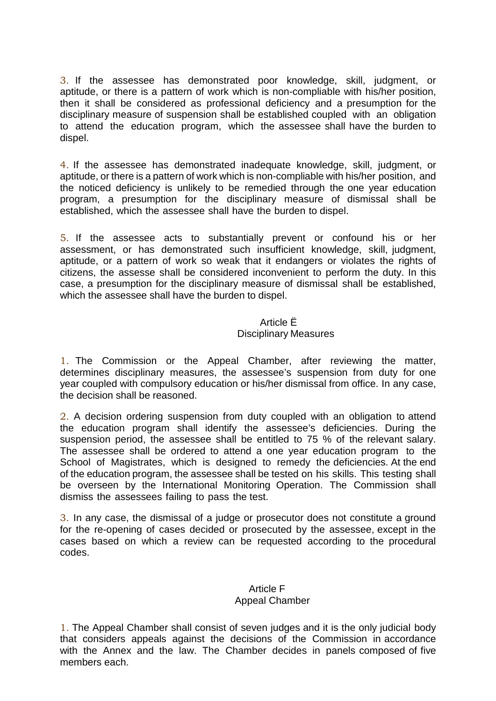3. If the assessee has demonstrated poor knowledge, skill, judgment, or aptitude, or there is a pattern of work which is non-compliable with his/her position, then it shall be considered as professional deficiency and a presumption for the disciplinary measure of suspension shall be established coupled with an obligation to attend the education program, which the assessee shall have the burden to dispel.

4. If the assessee has demonstrated inadequate knowledge, skill, judgment, or aptitude, or there is a pattern of work which is non-compliable with his/her position, and the noticed deficiency is unlikely to be remedied through the one year education program, a presumption for the disciplinary measure of dismissal shall be established, which the assessee shall have the burden to dispel.

5. If the assessee acts to substantially prevent or confound his or her assessment, or has demonstrated such insufficient knowledge, skill, judgment, aptitude, or a pattern of work so weak that it endangers or violates the rights of citizens, the assesse shall be considered inconvenient to perform the duty. In this case, a presumption for the disciplinary measure of dismissal shall be established, which the assessee shall have the burden to dispel.

# Article Ë Disciplinary Measures

1. The Commission or the Appeal Chamber, after reviewing the matter, determines disciplinary measures, the assessee's suspension from duty for one year coupled with compulsory education or his/her dismissal from office. In any case, the decision shall be reasoned.

2. A decision ordering suspension from duty coupled with an obligation to attend the education program shall identify the assessee's deficiencies. During the suspension period, the assessee shall be entitled to 75 % of the relevant salary. The assessee shall be ordered to attend a one year education program to the School of Magistrates, which is designed to remedy the deficiencies. At the end of the education program, the assessee shall be tested on his skills. This testing shall be overseen by the International Monitoring Operation. The Commission shall dismiss the assessees failing to pass the test.

3. In any case, the dismissal of a judge or prosecutor does not constitute a ground for the re-opening of cases decided or prosecuted by the assessee, except in the cases based on which a review can be requested according to the procedural codes.

# Article F Appeal Chamber

1. The Appeal Chamber shall consist of seven judges and it is the only judicial body that considers appeals against the decisions of the Commission in accordance with the Annex and the law. The Chamber decides in panels composed of five members each.